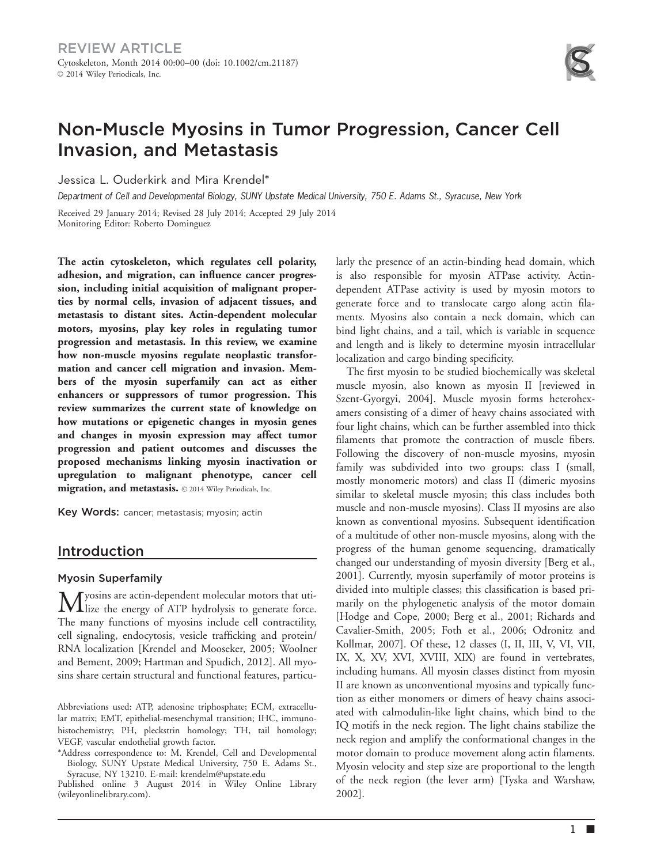

Jessica L. Ouderkirk and Mira Krendel\*

Department of Cell and Developmental Biology, SUNY Upstate Medical University, 750 E. Adams St., Syracuse, New York

Received 29 January 2014; Revised 28 July 2014; Accepted 29 July 2014 Monitoring Editor: Roberto Dominguez

The actin cytoskeleton, which regulates cell polarity, adhesion, and migration, can influence cancer progression, including initial acquisition of malignant properties by normal cells, invasion of adjacent tissues, and metastasis to distant sites. Actin-dependent molecular motors, myosins, play key roles in regulating tumor progression and metastasis. In this review, we examine how non-muscle myosins regulate neoplastic transformation and cancer cell migration and invasion. Members of the myosin superfamily can act as either enhancers or suppressors of tumor progression. This review summarizes the current state of knowledge on how mutations or epigenetic changes in myosin genes and changes in myosin expression may affect tumor progression and patient outcomes and discusses the proposed mechanisms linking myosin inactivation or upregulation to malignant phenotype, cancer cell migration, and metastasis. 2014 Wiley Periodicals, Inc.

Key Words: cancer; metastasis; myosin; actin

#### Introduction

#### Myosin Superfamily

Tyosins are actin-dependent molecular motors that uti-**L**lize the energy of ATP hydrolysis to generate force. The many functions of myosins include cell contractility, cell signaling, endocytosis, vesicle trafficking and protein/ RNA localization [Krendel and Mooseker, 2005; Woolner and Bement, 2009; Hartman and Spudich, 2012]. All myosins share certain structural and functional features, particu-

Abbreviations used: ATP, adenosine triphosphate; ECM, extracellular matrix; EMT, epithelial-mesenchymal transition; IHC, immunohistochemistry; PH, pleckstrin homology; TH, tail homology; VEGF, vascular endothelial growth factor.

\*Address correspondence to: M. Krendel, Cell and Developmental Biology, SUNY Upstate Medical University, 750 E. Adams St., Syracuse, NY 13210. E-mail: krendelm@upstate.edu

Published online 3 August 2014 in Wiley Online Library (wileyonlinelibrary.com).

larly the presence of an actin-binding head domain, which is also responsible for myosin ATPase activity. Actindependent ATPase activity is used by myosin motors to generate force and to translocate cargo along actin filaments. Myosins also contain a neck domain, which can bind light chains, and a tail, which is variable in sequence and length and is likely to determine myosin intracellular localization and cargo binding specificity.

The first myosin to be studied biochemically was skeletal muscle myosin, also known as myosin II [reviewed in Szent-Gyorgyi, 2004]. Muscle myosin forms heterohexamers consisting of a dimer of heavy chains associated with four light chains, which can be further assembled into thick filaments that promote the contraction of muscle fibers. Following the discovery of non-muscle myosins, myosin family was subdivided into two groups: class I (small, mostly monomeric motors) and class II (dimeric myosins similar to skeletal muscle myosin; this class includes both muscle and non-muscle myosins). Class II myosins are also known as conventional myosins. Subsequent identification of a multitude of other non-muscle myosins, along with the progress of the human genome sequencing, dramatically changed our understanding of myosin diversity [Berg et al., 2001]. Currently, myosin superfamily of motor proteins is divided into multiple classes; this classification is based primarily on the phylogenetic analysis of the motor domain [Hodge and Cope, 2000; Berg et al., 2001; Richards and Cavalier-Smith, 2005; Foth et al., 2006; Odronitz and Kollmar, 2007]. Of these, 12 classes (I, II, III, V, VI, VII, IX, X, XV, XVI, XVIII, XIX) are found in vertebrates, including humans. All myosin classes distinct from myosin II are known as unconventional myosins and typically function as either monomers or dimers of heavy chains associated with calmodulin-like light chains, which bind to the IQ motifs in the neck region. The light chains stabilize the neck region and amplify the conformational changes in the motor domain to produce movement along actin filaments. Myosin velocity and step size are proportional to the length of the neck region (the lever arm) [Tyska and Warshaw, 2002].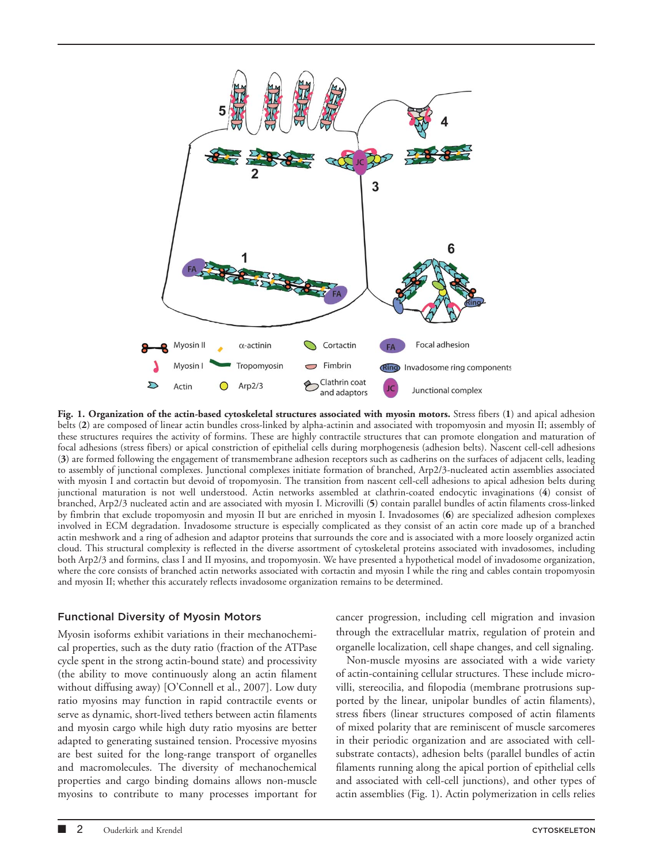

Fig. 1. Organization of the actin-based cytoskeletal structures associated with myosin motors. Stress fibers (1) and apical adhesion belts (2) are composed of linear actin bundles cross-linked by alpha-actinin and associated with tropomyosin and myosin II; assembly of these structures requires the activity of formins. These are highly contractile structures that can promote elongation and maturation of focal adhesions (stress fibers) or apical constriction of epithelial cells during morphogenesis (adhesion belts). Nascent cell-cell adhesions (3) are formed following the engagement of transmembrane adhesion receptors such as cadherins on the surfaces of adjacent cells, leading to assembly of junctional complexes. Junctional complexes initiate formation of branched, Arp2/3-nucleated actin assemblies associated with myosin I and cortactin but devoid of tropomyosin. The transition from nascent cell-cell adhesions to apical adhesion belts during junctional maturation is not well understood. Actin networks assembled at clathrin-coated endocytic invaginations (4) consist of branched, Arp2/3 nucleated actin and are associated with myosin I. Microvilli (5) contain parallel bundles of actin filaments cross-linked by fimbrin that exclude tropomyosin and myosin II but are enriched in myosin I. Invadosomes (6) are specialized adhesion complexes involved in ECM degradation. Invadosome structure is especially complicated as they consist of an actin core made up of a branched actin meshwork and a ring of adhesion and adaptor proteins that surrounds the core and is associated with a more loosely organized actin cloud. This structural complexity is reflected in the diverse assortment of cytoskeletal proteins associated with invadosomes, including both Arp2/3 and formins, class I and II myosins, and tropomyosin. We have presented a hypothetical model of invadosome organization, where the core consists of branched actin networks associated with cortactin and myosin I while the ring and cables contain tropomyosin and myosin II; whether this accurately reflects invadosome organization remains to be determined.

#### Functional Diversity of Myosin Motors

Myosin isoforms exhibit variations in their mechanochemical properties, such as the duty ratio (fraction of the ATPase cycle spent in the strong actin-bound state) and processivity (the ability to move continuously along an actin filament without diffusing away) [O'Connell et al., 2007]. Low duty ratio myosins may function in rapid contractile events or serve as dynamic, short-lived tethers between actin filaments and myosin cargo while high duty ratio myosins are better adapted to generating sustained tension. Processive myosins are best suited for the long-range transport of organelles and macromolecules. The diversity of mechanochemical properties and cargo binding domains allows non-muscle myosins to contribute to many processes important for cancer progression, including cell migration and invasion through the extracellular matrix, regulation of protein and organelle localization, cell shape changes, and cell signaling.

Non-muscle myosins are associated with a wide variety of actin-containing cellular structures. These include microvilli, stereocilia, and filopodia (membrane protrusions supported by the linear, unipolar bundles of actin filaments), stress fibers (linear structures composed of actin filaments of mixed polarity that are reminiscent of muscle sarcomeres in their periodic organization and are associated with cellsubstrate contacts), adhesion belts (parallel bundles of actin filaments running along the apical portion of epithelial cells and associated with cell-cell junctions), and other types of actin assemblies (Fig. 1). Actin polymerization in cells relies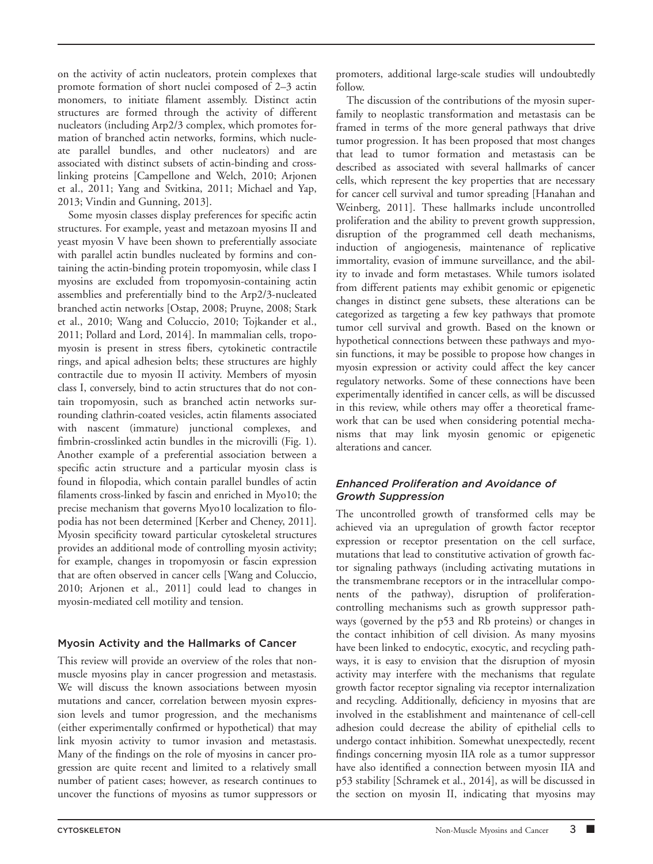on the activity of actin nucleators, protein complexes that promote formation of short nuclei composed of 2–3 actin monomers, to initiate filament assembly. Distinct actin structures are formed through the activity of different nucleators (including Arp2/3 complex, which promotes formation of branched actin networks, formins, which nucleate parallel bundles, and other nucleators) and are associated with distinct subsets of actin-binding and crosslinking proteins [Campellone and Welch, 2010; Arjonen et al., 2011; Yang and Svitkina, 2011; Michael and Yap, 2013; Vindin and Gunning, 2013].

Some myosin classes display preferences for specific actin structures. For example, yeast and metazoan myosins II and yeast myosin V have been shown to preferentially associate with parallel actin bundles nucleated by formins and containing the actin-binding protein tropomyosin, while class I myosins are excluded from tropomyosin-containing actin assemblies and preferentially bind to the Arp2/3-nucleated branched actin networks [Ostap, 2008; Pruyne, 2008; Stark et al., 2010; Wang and Coluccio, 2010; Tojkander et al., 2011; Pollard and Lord, 2014]. In mammalian cells, tropomyosin is present in stress fibers, cytokinetic contractile rings, and apical adhesion belts; these structures are highly contractile due to myosin II activity. Members of myosin class I, conversely, bind to actin structures that do not contain tropomyosin, such as branched actin networks surrounding clathrin-coated vesicles, actin filaments associated with nascent (immature) junctional complexes, and fimbrin-crosslinked actin bundles in the microvilli (Fig. 1). Another example of a preferential association between a specific actin structure and a particular myosin class is found in filopodia, which contain parallel bundles of actin filaments cross-linked by fascin and enriched in Myo10; the precise mechanism that governs Myo10 localization to filopodia has not been determined [Kerber and Cheney, 2011]. Myosin specificity toward particular cytoskeletal structures provides an additional mode of controlling myosin activity; for example, changes in tropomyosin or fascin expression that are often observed in cancer cells [Wang and Coluccio, 2010; Arjonen et al., 2011] could lead to changes in myosin-mediated cell motility and tension.

#### Myosin Activity and the Hallmarks of Cancer

This review will provide an overview of the roles that nonmuscle myosins play in cancer progression and metastasis. We will discuss the known associations between myosin mutations and cancer, correlation between myosin expression levels and tumor progression, and the mechanisms (either experimentally confirmed or hypothetical) that may link myosin activity to tumor invasion and metastasis. Many of the findings on the role of myosins in cancer progression are quite recent and limited to a relatively small number of patient cases; however, as research continues to uncover the functions of myosins as tumor suppressors or promoters, additional large-scale studies will undoubtedly follow.

The discussion of the contributions of the myosin superfamily to neoplastic transformation and metastasis can be framed in terms of the more general pathways that drive tumor progression. It has been proposed that most changes that lead to tumor formation and metastasis can be described as associated with several hallmarks of cancer cells, which represent the key properties that are necessary for cancer cell survival and tumor spreading [Hanahan and Weinberg, 2011]. These hallmarks include uncontrolled proliferation and the ability to prevent growth suppression, disruption of the programmed cell death mechanisms, induction of angiogenesis, maintenance of replicative immortality, evasion of immune surveillance, and the ability to invade and form metastases. While tumors isolated from different patients may exhibit genomic or epigenetic changes in distinct gene subsets, these alterations can be categorized as targeting a few key pathways that promote tumor cell survival and growth. Based on the known or hypothetical connections between these pathways and myosin functions, it may be possible to propose how changes in myosin expression or activity could affect the key cancer regulatory networks. Some of these connections have been experimentally identified in cancer cells, as will be discussed in this review, while others may offer a theoretical framework that can be used when considering potential mechanisms that may link myosin genomic or epigenetic alterations and cancer.

#### Enhanced Proliferation and Avoidance of Growth Suppression

The uncontrolled growth of transformed cells may be achieved via an upregulation of growth factor receptor expression or receptor presentation on the cell surface, mutations that lead to constitutive activation of growth factor signaling pathways (including activating mutations in the transmembrane receptors or in the intracellular components of the pathway), disruption of proliferationcontrolling mechanisms such as growth suppressor pathways (governed by the p53 and Rb proteins) or changes in the contact inhibition of cell division. As many myosins have been linked to endocytic, exocytic, and recycling pathways, it is easy to envision that the disruption of myosin activity may interfere with the mechanisms that regulate growth factor receptor signaling via receptor internalization and recycling. Additionally, deficiency in myosins that are involved in the establishment and maintenance of cell-cell adhesion could decrease the ability of epithelial cells to undergo contact inhibition. Somewhat unexpectedly, recent findings concerning myosin IIA role as a tumor suppressor have also identified a connection between myosin IIA and p53 stability [Schramek et al., 2014], as will be discussed in the section on myosin II, indicating that myosins may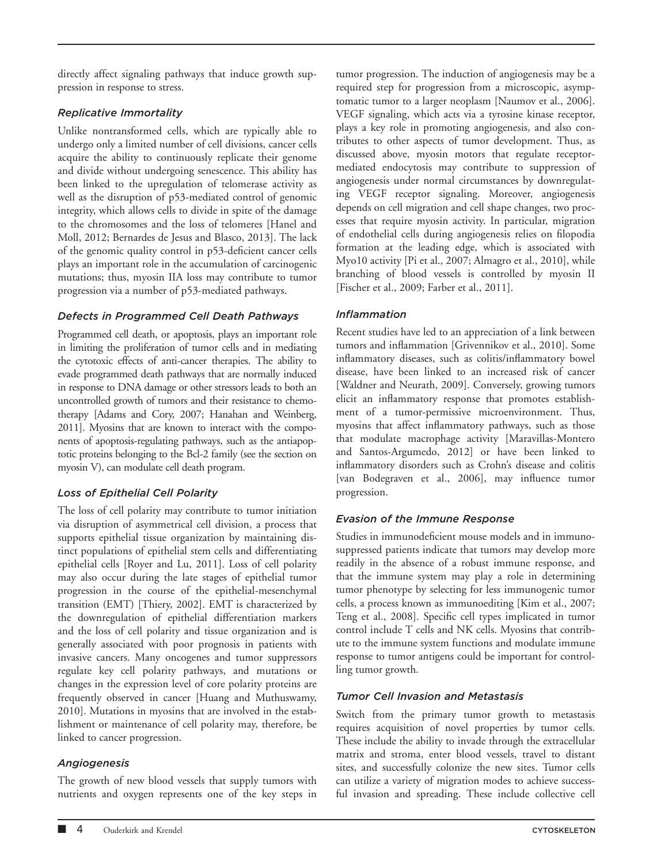directly affect signaling pathways that induce growth suppression in response to stress.

### Replicative Immortality

Unlike nontransformed cells, which are typically able to undergo only a limited number of cell divisions, cancer cells acquire the ability to continuously replicate their genome and divide without undergoing senescence. This ability has been linked to the upregulation of telomerase activity as well as the disruption of p53-mediated control of genomic integrity, which allows cells to divide in spite of the damage to the chromosomes and the loss of telomeres [Hanel and Moll, 2012; Bernardes de Jesus and Blasco, 2013]. The lack of the genomic quality control in p53-deficient cancer cells plays an important role in the accumulation of carcinogenic mutations; thus, myosin IIA loss may contribute to tumor progression via a number of p53-mediated pathways.

#### Defects in Programmed Cell Death Pathways

Programmed cell death, or apoptosis, plays an important role in limiting the proliferation of tumor cells and in mediating the cytotoxic effects of anti-cancer therapies. The ability to evade programmed death pathways that are normally induced in response to DNA damage or other stressors leads to both an uncontrolled growth of tumors and their resistance to chemotherapy [Adams and Cory, 2007; Hanahan and Weinberg, 2011]. Myosins that are known to interact with the components of apoptosis-regulating pathways, such as the antiapoptotic proteins belonging to the Bcl-2 family (see the section on myosin V), can modulate cell death program.

## Loss of Epithelial Cell Polarity

The loss of cell polarity may contribute to tumor initiation via disruption of asymmetrical cell division, a process that supports epithelial tissue organization by maintaining distinct populations of epithelial stem cells and differentiating epithelial cells [Royer and Lu, 2011]. Loss of cell polarity may also occur during the late stages of epithelial tumor progression in the course of the epithelial-mesenchymal transition (EMT) [Thiery, 2002]. EMT is characterized by the downregulation of epithelial differentiation markers and the loss of cell polarity and tissue organization and is generally associated with poor prognosis in patients with invasive cancers. Many oncogenes and tumor suppressors regulate key cell polarity pathways, and mutations or changes in the expression level of core polarity proteins are frequently observed in cancer [Huang and Muthuswamy, 2010]. Mutations in myosins that are involved in the establishment or maintenance of cell polarity may, therefore, be linked to cancer progression.

## Angiogenesis

The growth of new blood vessels that supply tumors with nutrients and oxygen represents one of the key steps in tumor progression. The induction of angiogenesis may be a required step for progression from a microscopic, asymptomatic tumor to a larger neoplasm [Naumov et al., 2006]. VEGF signaling, which acts via a tyrosine kinase receptor, plays a key role in promoting angiogenesis, and also contributes to other aspects of tumor development. Thus, as discussed above, myosin motors that regulate receptormediated endocytosis may contribute to suppression of angiogenesis under normal circumstances by downregulating VEGF receptor signaling. Moreover, angiogenesis depends on cell migration and cell shape changes, two processes that require myosin activity. In particular, migration of endothelial cells during angiogenesis relies on filopodia formation at the leading edge, which is associated with Myo10 activity [Pi et al., 2007; Almagro et al., 2010], while branching of blood vessels is controlled by myosin II [Fischer et al., 2009; Farber et al., 2011].

# Inflammation

Recent studies have led to an appreciation of a link between tumors and inflammation [Grivennikov et al., 2010]. Some inflammatory diseases, such as colitis/inflammatory bowel disease, have been linked to an increased risk of cancer [Waldner and Neurath, 2009]. Conversely, growing tumors elicit an inflammatory response that promotes establishment of a tumor-permissive microenvironment. Thus, myosins that affect inflammatory pathways, such as those that modulate macrophage activity [Maravillas-Montero and Santos-Argumedo, 2012] or have been linked to inflammatory disorders such as Crohn's disease and colitis [van Bodegraven et al., 2006], may influence tumor progression.

## Evasion of the Immune Response

Studies in immunodeficient mouse models and in immunosuppressed patients indicate that tumors may develop more readily in the absence of a robust immune response, and that the immune system may play a role in determining tumor phenotype by selecting for less immunogenic tumor cells, a process known as immunoediting [Kim et al., 2007; Teng et al., 2008]. Specific cell types implicated in tumor control include T cells and NK cells. Myosins that contribute to the immune system functions and modulate immune response to tumor antigens could be important for controlling tumor growth.

## Tumor Cell Invasion and Metastasis

Switch from the primary tumor growth to metastasis requires acquisition of novel properties by tumor cells. These include the ability to invade through the extracellular matrix and stroma, enter blood vessels, travel to distant sites, and successfully colonize the new sites. Tumor cells can utilize a variety of migration modes to achieve successful invasion and spreading. These include collective cell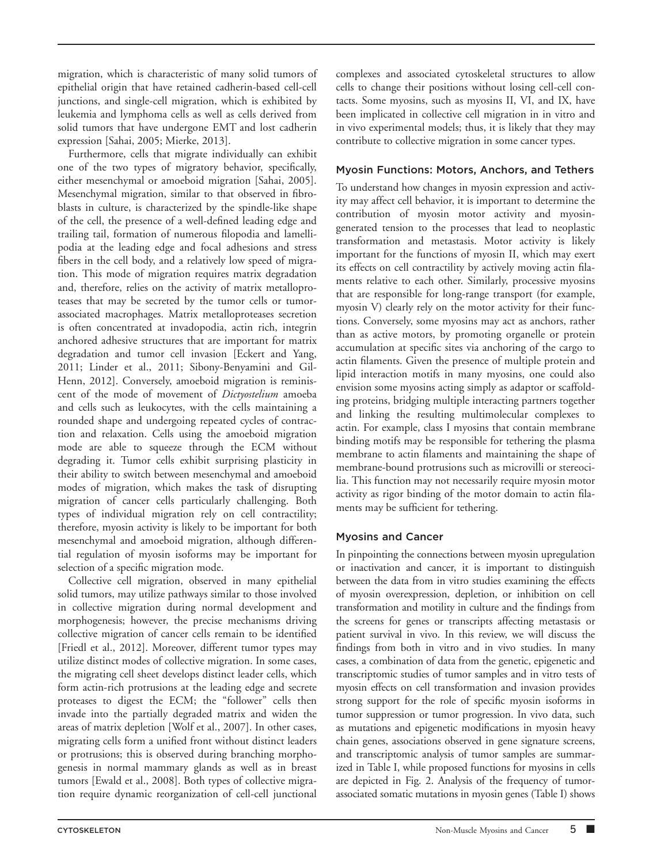migration, which is characteristic of many solid tumors of epithelial origin that have retained cadherin-based cell-cell junctions, and single-cell migration, which is exhibited by leukemia and lymphoma cells as well as cells derived from solid tumors that have undergone EMT and lost cadherin expression [Sahai, 2005; Mierke, 2013].

Furthermore, cells that migrate individually can exhibit one of the two types of migratory behavior, specifically, either mesenchymal or amoeboid migration [Sahai, 2005]. Mesenchymal migration, similar to that observed in fibroblasts in culture, is characterized by the spindle-like shape of the cell, the presence of a well-defined leading edge and trailing tail, formation of numerous filopodia and lamellipodia at the leading edge and focal adhesions and stress fibers in the cell body, and a relatively low speed of migration. This mode of migration requires matrix degradation and, therefore, relies on the activity of matrix metalloproteases that may be secreted by the tumor cells or tumorassociated macrophages. Matrix metalloproteases secretion is often concentrated at invadopodia, actin rich, integrin anchored adhesive structures that are important for matrix degradation and tumor cell invasion [Eckert and Yang, 2011; Linder et al., 2011; Sibony-Benyamini and Gil-Henn, 2012]. Conversely, amoeboid migration is reminiscent of the mode of movement of Dictyostelium amoeba and cells such as leukocytes, with the cells maintaining a rounded shape and undergoing repeated cycles of contraction and relaxation. Cells using the amoeboid migration mode are able to squeeze through the ECM without degrading it. Tumor cells exhibit surprising plasticity in their ability to switch between mesenchymal and amoeboid modes of migration, which makes the task of disrupting migration of cancer cells particularly challenging. Both types of individual migration rely on cell contractility; therefore, myosin activity is likely to be important for both mesenchymal and amoeboid migration, although differential regulation of myosin isoforms may be important for selection of a specific migration mode.

Collective cell migration, observed in many epithelial solid tumors, may utilize pathways similar to those involved in collective migration during normal development and morphogenesis; however, the precise mechanisms driving collective migration of cancer cells remain to be identified [Friedl et al., 2012]. Moreover, different tumor types may utilize distinct modes of collective migration. In some cases, the migrating cell sheet develops distinct leader cells, which form actin-rich protrusions at the leading edge and secrete proteases to digest the ECM; the "follower" cells then invade into the partially degraded matrix and widen the areas of matrix depletion [Wolf et al., 2007]. In other cases, migrating cells form a unified front without distinct leaders or protrusions; this is observed during branching morphogenesis in normal mammary glands as well as in breast tumors [Ewald et al., 2008]. Both types of collective migration require dynamic reorganization of cell-cell junctional

complexes and associated cytoskeletal structures to allow cells to change their positions without losing cell-cell contacts. Some myosins, such as myosins II, VI, and IX, have been implicated in collective cell migration in in vitro and in vivo experimental models; thus, it is likely that they may contribute to collective migration in some cancer types.

#### Myosin Functions: Motors, Anchors, and Tethers

To understand how changes in myosin expression and activity may affect cell behavior, it is important to determine the contribution of myosin motor activity and myosingenerated tension to the processes that lead to neoplastic transformation and metastasis. Motor activity is likely important for the functions of myosin II, which may exert its effects on cell contractility by actively moving actin filaments relative to each other. Similarly, processive myosins that are responsible for long-range transport (for example, myosin V) clearly rely on the motor activity for their functions. Conversely, some myosins may act as anchors, rather than as active motors, by promoting organelle or protein accumulation at specific sites via anchoring of the cargo to actin filaments. Given the presence of multiple protein and lipid interaction motifs in many myosins, one could also envision some myosins acting simply as adaptor or scaffolding proteins, bridging multiple interacting partners together and linking the resulting multimolecular complexes to actin. For example, class I myosins that contain membrane binding motifs may be responsible for tethering the plasma membrane to actin filaments and maintaining the shape of membrane-bound protrusions such as microvilli or stereocilia. This function may not necessarily require myosin motor activity as rigor binding of the motor domain to actin filaments may be sufficient for tethering.

## Myosins and Cancer

In pinpointing the connections between myosin upregulation or inactivation and cancer, it is important to distinguish between the data from in vitro studies examining the effects of myosin overexpression, depletion, or inhibition on cell transformation and motility in culture and the findings from the screens for genes or transcripts affecting metastasis or patient survival in vivo. In this review, we will discuss the findings from both in vitro and in vivo studies. In many cases, a combination of data from the genetic, epigenetic and transcriptomic studies of tumor samples and in vitro tests of myosin effects on cell transformation and invasion provides strong support for the role of specific myosin isoforms in tumor suppression or tumor progression. In vivo data, such as mutations and epigenetic modifications in myosin heavy chain genes, associations observed in gene signature screens, and transcriptomic analysis of tumor samples are summarized in Table I, while proposed functions for myosins in cells are depicted in Fig. 2. Analysis of the frequency of tumorassociated somatic mutations in myosin genes (Table I) shows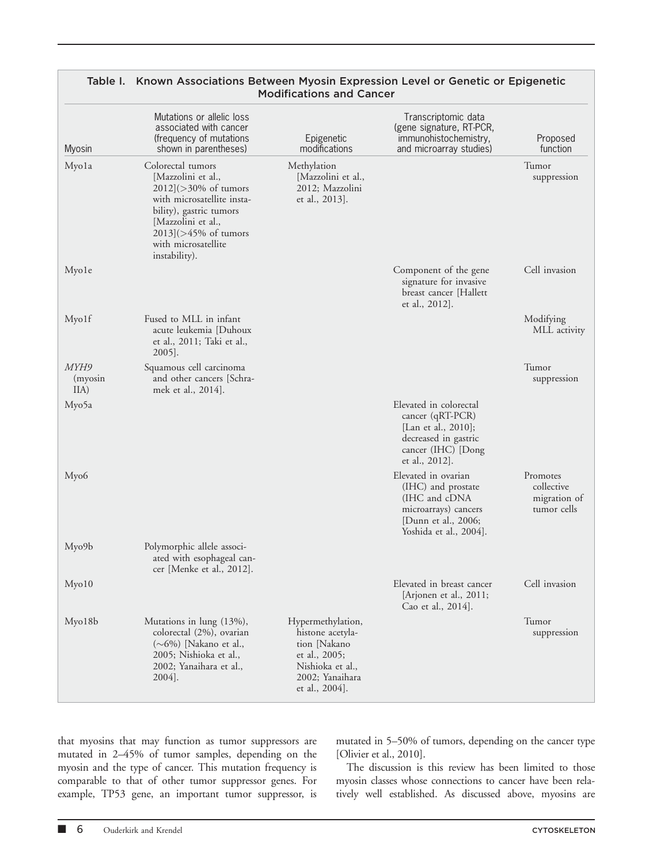| <b>Modifications and Cancer</b> |                                                                                                                                                                                                                |                                                                                                                                 |                                                                                                                                     |                                                       |
|---------------------------------|----------------------------------------------------------------------------------------------------------------------------------------------------------------------------------------------------------------|---------------------------------------------------------------------------------------------------------------------------------|-------------------------------------------------------------------------------------------------------------------------------------|-------------------------------------------------------|
| Myosin                          | Mutations or allelic loss<br>associated with cancer<br>(frequency of mutations<br>shown in parentheses)                                                                                                        | Epigenetic<br>modifications                                                                                                     | Transcriptomic data<br>(gene signature, RT-PCR,<br>immunohistochemistry,<br>and microarray studies)                                 | Proposed<br>function                                  |
| Myo1a                           | Colorectal tumors<br>[Mazzolini et al.,<br>2012](>30% of tumors<br>with microsatellite insta-<br>bility), gastric tumors<br>[Mazzolini et al.,<br>2013](>45% of tumors<br>with microsatellite<br>instability). | Methylation<br>[Mazzolini et al.,<br>2012; Mazzolini<br>et al., 2013].                                                          |                                                                                                                                     | Tumor<br>suppression                                  |
| Myole                           |                                                                                                                                                                                                                |                                                                                                                                 | Component of the gene<br>signature for invasive<br>breast cancer [Hallett]<br>et al., 2012].                                        | Cell invasion                                         |
| Myo1f                           | Fused to MLL in infant<br>acute leukemia [Duhoux<br>et al., 2011; Taki et al.,<br>2005].                                                                                                                       |                                                                                                                                 |                                                                                                                                     | Modifying<br>MLL activity                             |
| MYH9<br>(myosin<br>IIA)         | Squamous cell carcinoma<br>and other cancers [Schra-<br>mek et al., 2014].                                                                                                                                     |                                                                                                                                 |                                                                                                                                     | Tumor<br>suppression                                  |
| Myo5a                           |                                                                                                                                                                                                                |                                                                                                                                 | Elevated in colorectal<br>cancer (qRT-PCR)<br>[Lan et al., 2010];<br>decreased in gastric<br>cancer (IHC) [Dong<br>et al., 2012].   |                                                       |
| Myo6                            |                                                                                                                                                                                                                |                                                                                                                                 | Elevated in ovarian<br>(IHC) and prostate<br>(IHC and cDNA<br>microarrays) cancers<br>[Dunn et al., 2006;<br>Yoshida et al., 2004]. | Promotes<br>collective<br>migration of<br>tumor cells |
| Myo9b                           | Polymorphic allele associ-<br>ated with esophageal can-<br>cer [Menke et al., 2012].                                                                                                                           |                                                                                                                                 |                                                                                                                                     |                                                       |
| Myo10                           |                                                                                                                                                                                                                |                                                                                                                                 | Elevated in breast cancer<br>[Arjonen et al., 2011;<br>Cao et al., 2014].                                                           | Cell invasion                                         |
| Myo18b                          | Mutations in lung (13%),<br>colorectal (2%), ovarian<br>$(\sim 6\%)$ [Nakano et al.,<br>2005; Nishioka et al.,<br>2002; Yanaihara et al.,<br>$2004$ .                                                          | Hypermethylation,<br>histone acetyla-<br>tion [Nakano<br>et al., 2005;<br>Nishioka et al.,<br>2002; Yanaihara<br>et al., 2004]. |                                                                                                                                     | Tumor<br>suppression                                  |

Table I. Known Associations Between Myosin Expression Level or Genetic or Epigenetic

that myosins that may function as tumor suppressors are mutated in 2–45% of tumor samples, depending on the myosin and the type of cancer. This mutation frequency is comparable to that of other tumor suppressor genes. For example, TP53 gene, an important tumor suppressor, is

mutated in 5–50% of tumors, depending on the cancer type [Olivier et al., 2010].

The discussion is this review has been limited to those myosin classes whose connections to cancer have been relatively well established. As discussed above, myosins are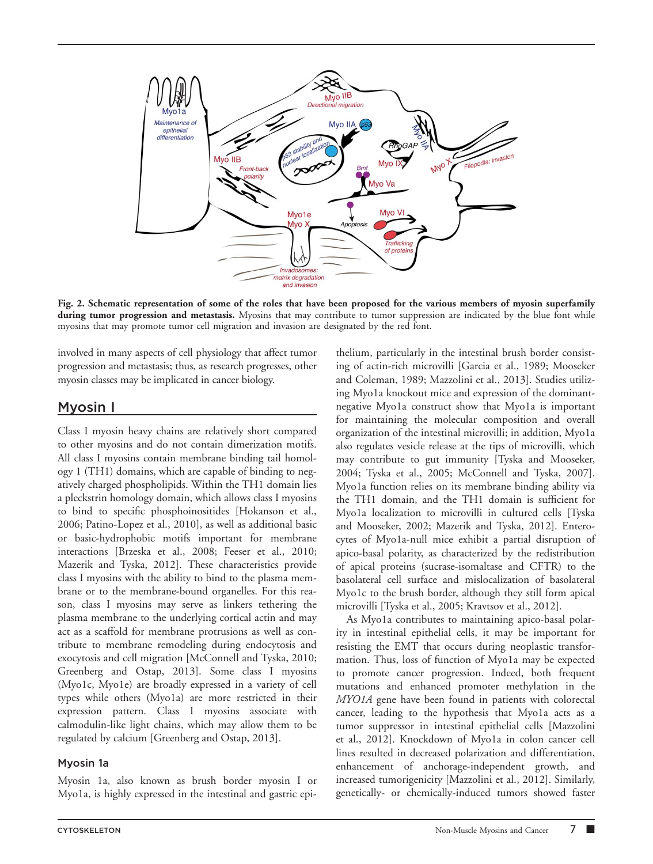

Fig. 2. Schematic representation of some of the roles that have been proposed for the various members of myosin superfamily during tumor progression and metastasis. Myosins that may contribute to tumor suppression are indicated by the blue font while myosins that may promote tumor cell migration and invasion are designated by the red font.

involved in many aspects of cell physiology that affect tumor progression and metastasis; thus, as research progresses, other myosin classes may be implicated in cancer biology.

# Myosin I

Class I myosin heavy chains are relatively short compared to other myosins and do not contain dimerization motifs. All class I myosins contain membrane binding tail homology 1 (TH1) domains, which are capable of binding to negatively charged phospholipids. Within the TH1 domain lies a pleckstrin homology domain, which allows class I myosins to bind to specific phosphoinositides [Hokanson et al., 2006; Patino-Lopez et al., 2010], as well as additional basic or basic-hydrophobic motifs important for membrane interactions [Brzeska et al., 2008; Feeser et al., 2010; Mazerik and Tyska, 2012]. These characteristics provide class I myosins with the ability to bind to the plasma membrane or to the membrane-bound organelles. For this reason, class I myosins may serve as linkers tethering the plasma membrane to the underlying cortical actin and may act as a scaffold for membrane protrusions as well as contribute to membrane remodeling during endocytosis and exocytosis and cell migration [McConnell and Tyska, 2010; Greenberg and Ostap, 2013]. Some class I myosins (Myo1c, Myo1e) are broadly expressed in a variety of cell types while others (Myo1a) are more restricted in their expression pattern. Class I myosins associate with calmodulin-like light chains, which may allow them to be regulated by calcium [Greenberg and Ostap, 2013].

#### Myosin 1a

Myosin 1a, also known as brush border myosin I or Myo1a, is highly expressed in the intestinal and gastric epithelium, particularly in the intestinal brush border consisting of actin-rich microvilli [Garcia et al., 1989; Mooseker and Coleman, 1989; Mazzolini et al., 2013]. Studies utilizing Myo1a knockout mice and expression of the dominantnegative Myo1a construct show that Myo1a is important for maintaining the molecular composition and overall organization of the intestinal microvilli; in addition, Myo1a also regulates vesicle release at the tips of microvilli, which may contribute to gut immunity [Tyska and Mooseker, 2004; Tyska et al., 2005; McConnell and Tyska, 2007]. Myo1a function relies on its membrane binding ability via the TH1 domain, and the TH1 domain is sufficient for Myo1a localization to microvilli in cultured cells [Tyska and Mooseker, 2002; Mazerik and Tyska, 2012]. Enterocytes of Myo1a-null mice exhibit a partial disruption of apico-basal polarity, as characterized by the redistribution of apical proteins (sucrase-isomaltase and CFTR) to the basolateral cell surface and mislocalization of basolateral Myo1c to the brush border, although they still form apical microvilli [Tyska et al., 2005; Kravtsov et al., 2012].

As Myo1a contributes to maintaining apico-basal polarity in intestinal epithelial cells, it may be important for resisting the EMT that occurs during neoplastic transformation. Thus, loss of function of Myo1a may be expected to promote cancer progression. Indeed, both frequent mutations and enhanced promoter methylation in the MYO1A gene have been found in patients with colorectal cancer, leading to the hypothesis that Myo1a acts as a tumor suppressor in intestinal epithelial cells [Mazzolini et al., 2012]. Knockdown of Myo1a in colon cancer cell lines resulted in decreased polarization and differentiation, enhancement of anchorage-independent growth, and increased tumorigenicity [Mazzolini et al., 2012]. Similarly, genetically- or chemically-induced tumors showed faster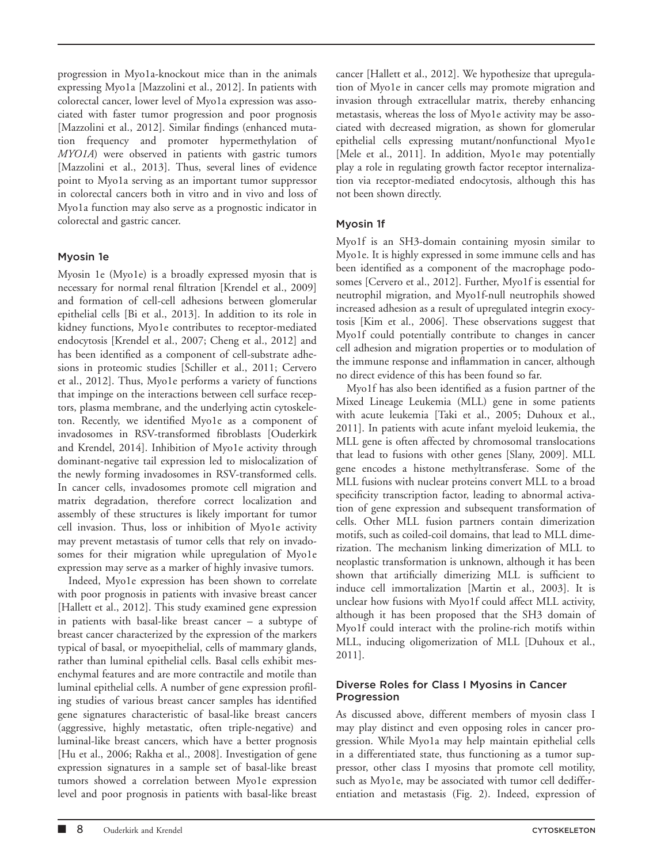progression in Myo1a-knockout mice than in the animals expressing Myo1a [Mazzolini et al., 2012]. In patients with colorectal cancer, lower level of Myo1a expression was associated with faster tumor progression and poor prognosis [Mazzolini et al., 2012]. Similar findings (enhanced mutation frequency and promoter hypermethylation of MYO1A) were observed in patients with gastric tumors [Mazzolini et al., 2013]. Thus, several lines of evidence point to Myo1a serving as an important tumor suppressor in colorectal cancers both in vitro and in vivo and loss of Myo1a function may also serve as a prognostic indicator in colorectal and gastric cancer.

#### Myosin 1e

Myosin 1e (Myo1e) is a broadly expressed myosin that is necessary for normal renal filtration [Krendel et al., 2009] and formation of cell-cell adhesions between glomerular epithelial cells [Bi et al., 2013]. In addition to its role in kidney functions, Myo1e contributes to receptor-mediated endocytosis [Krendel et al., 2007; Cheng et al., 2012] and has been identified as a component of cell-substrate adhesions in proteomic studies [Schiller et al., 2011; Cervero et al., 2012]. Thus, Myo1e performs a variety of functions that impinge on the interactions between cell surface receptors, plasma membrane, and the underlying actin cytoskeleton. Recently, we identified Myo1e as a component of invadosomes in RSV-transformed fibroblasts [Ouderkirk and Krendel, 2014]. Inhibition of Myo1e activity through dominant-negative tail expression led to mislocalization of the newly forming invadosomes in RSV-transformed cells. In cancer cells, invadosomes promote cell migration and matrix degradation, therefore correct localization and assembly of these structures is likely important for tumor cell invasion. Thus, loss or inhibition of Myo1e activity may prevent metastasis of tumor cells that rely on invadosomes for their migration while upregulation of Myo1e expression may serve as a marker of highly invasive tumors.

Indeed, Myo1e expression has been shown to correlate with poor prognosis in patients with invasive breast cancer [Hallett et al., 2012]. This study examined gene expression in patients with basal-like breast cancer – a subtype of breast cancer characterized by the expression of the markers typical of basal, or myoepithelial, cells of mammary glands, rather than luminal epithelial cells. Basal cells exhibit mesenchymal features and are more contractile and motile than luminal epithelial cells. A number of gene expression profiling studies of various breast cancer samples has identified gene signatures characteristic of basal-like breast cancers (aggressive, highly metastatic, often triple-negative) and luminal-like breast cancers, which have a better prognosis [Hu et al., 2006; Rakha et al., 2008]. Investigation of gene expression signatures in a sample set of basal-like breast tumors showed a correlation between Myo1e expression level and poor prognosis in patients with basal-like breast

cancer [Hallett et al., 2012]. We hypothesize that upregulation of Myo1e in cancer cells may promote migration and invasion through extracellular matrix, thereby enhancing metastasis, whereas the loss of Myo1e activity may be associated with decreased migration, as shown for glomerular epithelial cells expressing mutant/nonfunctional Myo1e [Mele et al., 2011]. In addition, Myo1e may potentially play a role in regulating growth factor receptor internalization via receptor-mediated endocytosis, although this has not been shown directly.

# Myosin 1f

Myo1f is an SH3-domain containing myosin similar to Myo1e. It is highly expressed in some immune cells and has been identified as a component of the macrophage podosomes [Cervero et al., 2012]. Further, Myo1f is essential for neutrophil migration, and Myo1f-null neutrophils showed increased adhesion as a result of upregulated integrin exocytosis [Kim et al., 2006]. These observations suggest that Myo1f could potentially contribute to changes in cancer cell adhesion and migration properties or to modulation of the immune response and inflammation in cancer, although no direct evidence of this has been found so far.

Myo1f has also been identified as a fusion partner of the Mixed Lineage Leukemia (MLL) gene in some patients with acute leukemia [Taki et al., 2005; Duhoux et al., 2011]. In patients with acute infant myeloid leukemia, the MLL gene is often affected by chromosomal translocations that lead to fusions with other genes [Slany, 2009]. MLL gene encodes a histone methyltransferase. Some of the MLL fusions with nuclear proteins convert MLL to a broad specificity transcription factor, leading to abnormal activation of gene expression and subsequent transformation of cells. Other MLL fusion partners contain dimerization motifs, such as coiled-coil domains, that lead to MLL dimerization. The mechanism linking dimerization of MLL to neoplastic transformation is unknown, although it has been shown that artificially dimerizing MLL is sufficient to induce cell immortalization [Martin et al., 2003]. It is unclear how fusions with Myo1f could affect MLL activity, although it has been proposed that the SH3 domain of Myo1f could interact with the proline-rich motifs within MLL, inducing oligomerization of MLL [Duhoux et al., 2011].

#### Diverse Roles for Class I Myosins in Cancer Progression

As discussed above, different members of myosin class I may play distinct and even opposing roles in cancer progression. While Myo1a may help maintain epithelial cells in a differentiated state, thus functioning as a tumor suppressor, other class I myosins that promote cell motility, such as Myo1e, may be associated with tumor cell dedifferentiation and metastasis (Fig. 2). Indeed, expression of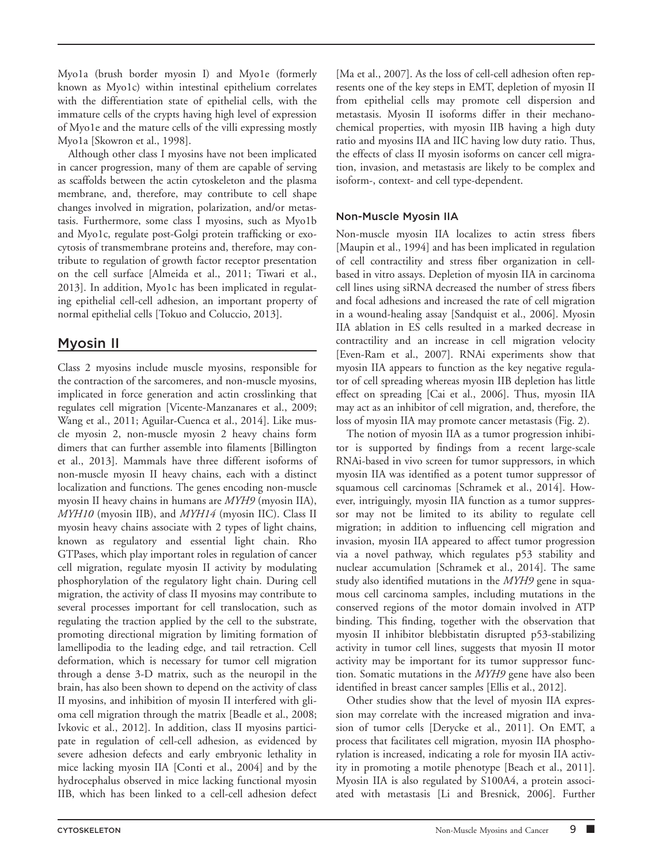Myo1a (brush border myosin I) and Myo1e (formerly known as Myo1c) within intestinal epithelium correlates with the differentiation state of epithelial cells, with the immature cells of the crypts having high level of expression of Myo1e and the mature cells of the villi expressing mostly Myo1a [Skowron et al., 1998].

Although other class I myosins have not been implicated in cancer progression, many of them are capable of serving as scaffolds between the actin cytoskeleton and the plasma membrane, and, therefore, may contribute to cell shape changes involved in migration, polarization, and/or metastasis. Furthermore, some class I myosins, such as Myo1b and Myo1c, regulate post-Golgi protein trafficking or exocytosis of transmembrane proteins and, therefore, may contribute to regulation of growth factor receptor presentation on the cell surface [Almeida et al., 2011; Tiwari et al., 2013]. In addition, Myo1c has been implicated in regulating epithelial cell-cell adhesion, an important property of normal epithelial cells [Tokuo and Coluccio, 2013].

# Myosin II

Class 2 myosins include muscle myosins, responsible for the contraction of the sarcomeres, and non-muscle myosins, implicated in force generation and actin crosslinking that regulates cell migration [Vicente-Manzanares et al., 2009; Wang et al., 2011; Aguilar-Cuenca et al., 2014]. Like muscle myosin 2, non-muscle myosin 2 heavy chains form dimers that can further assemble into filaments [Billington et al., 2013]. Mammals have three different isoforms of non-muscle myosin II heavy chains, each with a distinct localization and functions. The genes encoding non-muscle myosin II heavy chains in humans are MYH9 (myosin IIA), MYH10 (myosin IIB), and MYH14 (myosin IIC). Class II myosin heavy chains associate with 2 types of light chains, known as regulatory and essential light chain. Rho GTPases, which play important roles in regulation of cancer cell migration, regulate myosin II activity by modulating phosphorylation of the regulatory light chain. During cell migration, the activity of class II myosins may contribute to several processes important for cell translocation, such as regulating the traction applied by the cell to the substrate, promoting directional migration by limiting formation of lamellipodia to the leading edge, and tail retraction. Cell deformation, which is necessary for tumor cell migration through a dense 3-D matrix, such as the neuropil in the brain, has also been shown to depend on the activity of class II myosins, and inhibition of myosin II interfered with glioma cell migration through the matrix [Beadle et al., 2008; Ivkovic et al., 2012]. In addition, class II myosins participate in regulation of cell-cell adhesion, as evidenced by severe adhesion defects and early embryonic lethality in mice lacking myosin IIA [Conti et al., 2004] and by the hydrocephalus observed in mice lacking functional myosin IIB, which has been linked to a cell-cell adhesion defect

[Ma et al., 2007]. As the loss of cell-cell adhesion often represents one of the key steps in EMT, depletion of myosin II from epithelial cells may promote cell dispersion and metastasis. Myosin II isoforms differ in their mechanochemical properties, with myosin IIB having a high duty ratio and myosins IIA and IIC having low duty ratio. Thus, the effects of class II myosin isoforms on cancer cell migration, invasion, and metastasis are likely to be complex and isoform-, context- and cell type-dependent.

### Non-Muscle Myosin IIA

Non-muscle myosin IIA localizes to actin stress fibers [Maupin et al., 1994] and has been implicated in regulation of cell contractility and stress fiber organization in cellbased in vitro assays. Depletion of myosin IIA in carcinoma cell lines using siRNA decreased the number of stress fibers and focal adhesions and increased the rate of cell migration in a wound-healing assay [Sandquist et al., 2006]. Myosin IIA ablation in ES cells resulted in a marked decrease in contractility and an increase in cell migration velocity [Even-Ram et al., 2007]. RNAi experiments show that myosin IIA appears to function as the key negative regulator of cell spreading whereas myosin IIB depletion has little effect on spreading [Cai et al., 2006]. Thus, myosin IIA may act as an inhibitor of cell migration, and, therefore, the loss of myosin IIA may promote cancer metastasis (Fig. 2).

The notion of myosin IIA as a tumor progression inhibitor is supported by findings from a recent large-scale RNAi-based in vivo screen for tumor suppressors, in which myosin IIA was identified as a potent tumor suppressor of squamous cell carcinomas [Schramek et al., 2014]. However, intriguingly, myosin IIA function as a tumor suppressor may not be limited to its ability to regulate cell migration; in addition to influencing cell migration and invasion, myosin IIA appeared to affect tumor progression via a novel pathway, which regulates p53 stability and nuclear accumulation [Schramek et al., 2014]. The same study also identified mutations in the MYH9 gene in squamous cell carcinoma samples, including mutations in the conserved regions of the motor domain involved in ATP binding. This finding, together with the observation that myosin II inhibitor blebbistatin disrupted p53-stabilizing activity in tumor cell lines, suggests that myosin II motor activity may be important for its tumor suppressor function. Somatic mutations in the MYH9 gene have also been identified in breast cancer samples [Ellis et al., 2012].

Other studies show that the level of myosin IIA expression may correlate with the increased migration and invasion of tumor cells [Derycke et al., 2011]. On EMT, a process that facilitates cell migration, myosin IIA phosphorylation is increased, indicating a role for myosin IIA activity in promoting a motile phenotype [Beach et al., 2011]. Myosin IIA is also regulated by S100A4, a protein associated with metastasis [Li and Bresnick, 2006]. Further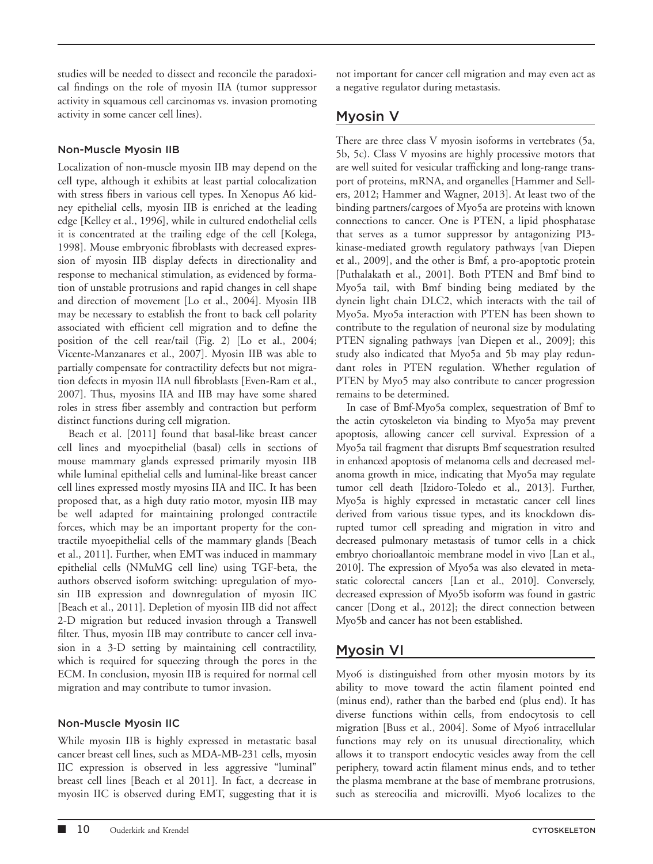studies will be needed to dissect and reconcile the paradoxical findings on the role of myosin IIA (tumor suppressor activity in squamous cell carcinomas vs. invasion promoting activity in some cancer cell lines).

## Non-Muscle Myosin IIB

Localization of non-muscle myosin IIB may depend on the cell type, although it exhibits at least partial colocalization with stress fibers in various cell types. In Xenopus A6 kidney epithelial cells, myosin IIB is enriched at the leading edge [Kelley et al., 1996], while in cultured endothelial cells it is concentrated at the trailing edge of the cell [Kolega, 1998]. Mouse embryonic fibroblasts with decreased expression of myosin IIB display defects in directionality and response to mechanical stimulation, as evidenced by formation of unstable protrusions and rapid changes in cell shape and direction of movement [Lo et al., 2004]. Myosin IIB may be necessary to establish the front to back cell polarity associated with efficient cell migration and to define the position of the cell rear/tail (Fig. 2) [Lo et al., 2004; Vicente-Manzanares et al., 2007]. Myosin IIB was able to partially compensate for contractility defects but not migration defects in myosin IIA null fibroblasts [Even-Ram et al., 2007]. Thus, myosins IIA and IIB may have some shared roles in stress fiber assembly and contraction but perform distinct functions during cell migration.

Beach et al. [2011] found that basal-like breast cancer cell lines and myoepithelial (basal) cells in sections of mouse mammary glands expressed primarily myosin IIB while luminal epithelial cells and luminal-like breast cancer cell lines expressed mostly myosins IIA and IIC. It has been proposed that, as a high duty ratio motor, myosin IIB may be well adapted for maintaining prolonged contractile forces, which may be an important property for the contractile myoepithelial cells of the mammary glands [Beach et al., 2011]. Further, when EMTwas induced in mammary epithelial cells (NMuMG cell line) using TGF-beta, the authors observed isoform switching: upregulation of myosin IIB expression and downregulation of myosin IIC [Beach et al., 2011]. Depletion of myosin IIB did not affect 2-D migration but reduced invasion through a Transwell filter. Thus, myosin IIB may contribute to cancer cell invasion in a 3-D setting by maintaining cell contractility, which is required for squeezing through the pores in the ECM. In conclusion, myosin IIB is required for normal cell migration and may contribute to tumor invasion.

## Non-Muscle Myosin IIC

While myosin IIB is highly expressed in metastatic basal cancer breast cell lines, such as MDA-MB-231 cells, myosin IIC expression is observed in less aggressive "luminal" breast cell lines [Beach et al 2011]. In fact, a decrease in myosin IIC is observed during EMT, suggesting that it is not important for cancer cell migration and may even act as a negative regulator during metastasis.

# Myosin V

There are three class V myosin isoforms in vertebrates (5a, 5b, 5c). Class V myosins are highly processive motors that are well suited for vesicular trafficking and long-range transport of proteins, mRNA, and organelles [Hammer and Sellers, 2012; Hammer and Wagner, 2013]. At least two of the binding partners/cargoes of Myo5a are proteins with known connections to cancer. One is PTEN, a lipid phosphatase that serves as a tumor suppressor by antagonizing PI3 kinase-mediated growth regulatory pathways [van Diepen et al., 2009], and the other is Bmf, a pro-apoptotic protein [Puthalakath et al., 2001]. Both PTEN and Bmf bind to Myo5a tail, with Bmf binding being mediated by the dynein light chain DLC2, which interacts with the tail of Myo5a. Myo5a interaction with PTEN has been shown to contribute to the regulation of neuronal size by modulating PTEN signaling pathways [van Diepen et al., 2009]; this study also indicated that Myo5a and 5b may play redundant roles in PTEN regulation. Whether regulation of PTEN by Myo5 may also contribute to cancer progression remains to be determined.

In case of Bmf-Myo5a complex, sequestration of Bmf to the actin cytoskeleton via binding to Myo5a may prevent apoptosis, allowing cancer cell survival. Expression of a Myo5a tail fragment that disrupts Bmf sequestration resulted in enhanced apoptosis of melanoma cells and decreased melanoma growth in mice, indicating that Myo5a may regulate tumor cell death [Izidoro-Toledo et al., 2013]. Further, Myo5a is highly expressed in metastatic cancer cell lines derived from various tissue types, and its knockdown disrupted tumor cell spreading and migration in vitro and decreased pulmonary metastasis of tumor cells in a chick embryo chorioallantoic membrane model in vivo [Lan et al., 2010]. The expression of Myo5a was also elevated in metastatic colorectal cancers [Lan et al., 2010]. Conversely, decreased expression of Myo5b isoform was found in gastric cancer [Dong et al., 2012]; the direct connection between Myo5b and cancer has not been established.

# Myosin VI

Myo6 is distinguished from other myosin motors by its ability to move toward the actin filament pointed end (minus end), rather than the barbed end (plus end). It has diverse functions within cells, from endocytosis to cell migration [Buss et al., 2004]. Some of Myo6 intracellular functions may rely on its unusual directionality, which allows it to transport endocytic vesicles away from the cell periphery, toward actin filament minus ends, and to tether the plasma membrane at the base of membrane protrusions, such as stereocilia and microvilli. Myo6 localizes to the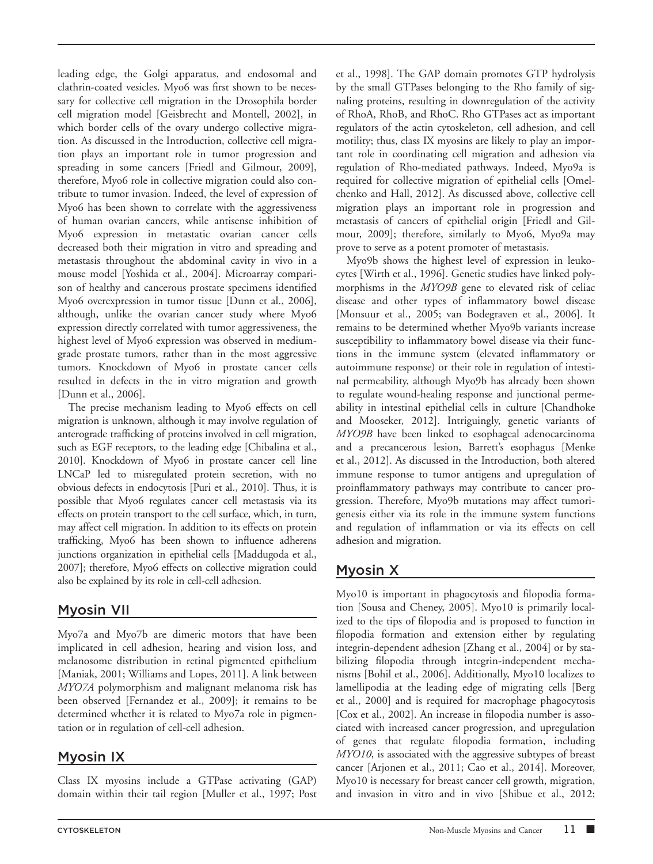leading edge, the Golgi apparatus, and endosomal and clathrin-coated vesicles. Myo6 was first shown to be necessary for collective cell migration in the Drosophila border cell migration model [Geisbrecht and Montell, 2002], in which border cells of the ovary undergo collective migration. As discussed in the Introduction, collective cell migration plays an important role in tumor progression and spreading in some cancers [Friedl and Gilmour, 2009], therefore, Myo6 role in collective migration could also contribute to tumor invasion. Indeed, the level of expression of Myo6 has been shown to correlate with the aggressiveness of human ovarian cancers, while antisense inhibition of Myo6 expression in metastatic ovarian cancer cells decreased both their migration in vitro and spreading and metastasis throughout the abdominal cavity in vivo in a mouse model [Yoshida et al., 2004]. Microarray comparison of healthy and cancerous prostate specimens identified Myo6 overexpression in tumor tissue [Dunn et al., 2006], although, unlike the ovarian cancer study where Myo6 expression directly correlated with tumor aggressiveness, the highest level of Myo6 expression was observed in mediumgrade prostate tumors, rather than in the most aggressive tumors. Knockdown of Myo6 in prostate cancer cells resulted in defects in the in vitro migration and growth [Dunn et al., 2006].

The precise mechanism leading to Myo6 effects on cell migration is unknown, although it may involve regulation of anterograde trafficking of proteins involved in cell migration, such as EGF receptors, to the leading edge [Chibalina et al., 2010]. Knockdown of Myo6 in prostate cancer cell line LNCaP led to misregulated protein secretion, with no obvious defects in endocytosis [Puri et al., 2010]. Thus, it is possible that Myo6 regulates cancer cell metastasis via its effects on protein transport to the cell surface, which, in turn, may affect cell migration. In addition to its effects on protein trafficking, Myo6 has been shown to influence adherens junctions organization in epithelial cells [Maddugoda et al., 2007]; therefore, Myo6 effects on collective migration could also be explained by its role in cell-cell adhesion.

# Myosin VII

Myo7a and Myo7b are dimeric motors that have been implicated in cell adhesion, hearing and vision loss, and melanosome distribution in retinal pigmented epithelium [Maniak, 2001; Williams and Lopes, 2011]. A link between MYO7A polymorphism and malignant melanoma risk has been observed [Fernandez et al., 2009]; it remains to be determined whether it is related to Myo7a role in pigmentation or in regulation of cell-cell adhesion.

# Myosin IX

Class IX myosins include a GTPase activating (GAP) domain within their tail region [Muller et al., 1997; Post et al., 1998]. The GAP domain promotes GTP hydrolysis by the small GTPases belonging to the Rho family of signaling proteins, resulting in downregulation of the activity of RhoA, RhoB, and RhoC. Rho GTPases act as important regulators of the actin cytoskeleton, cell adhesion, and cell motility; thus, class IX myosins are likely to play an important role in coordinating cell migration and adhesion via regulation of Rho-mediated pathways. Indeed, Myo9a is required for collective migration of epithelial cells [Omelchenko and Hall, 2012]. As discussed above, collective cell migration plays an important role in progression and metastasis of cancers of epithelial origin [Friedl and Gilmour, 2009]; therefore, similarly to Myo6, Myo9a may prove to serve as a potent promoter of metastasis.

Myo9b shows the highest level of expression in leukocytes [Wirth et al., 1996]. Genetic studies have linked polymorphisms in the MYO9B gene to elevated risk of celiac disease and other types of inflammatory bowel disease [Monsuur et al., 2005; van Bodegraven et al., 2006]. It remains to be determined whether Myo9b variants increase susceptibility to inflammatory bowel disease via their functions in the immune system (elevated inflammatory or autoimmune response) or their role in regulation of intestinal permeability, although Myo9b has already been shown to regulate wound-healing response and junctional permeability in intestinal epithelial cells in culture [Chandhoke and Mooseker, 2012]. Intriguingly, genetic variants of MYO9B have been linked to esophageal adenocarcinoma and a precancerous lesion, Barrett's esophagus [Menke et al., 2012]. As discussed in the Introduction, both altered immune response to tumor antigens and upregulation of proinflammatory pathways may contribute to cancer progression. Therefore, Myo9b mutations may affect tumorigenesis either via its role in the immune system functions and regulation of inflammation or via its effects on cell adhesion and migration.

# Myosin X

Myo10 is important in phagocytosis and filopodia formation [Sousa and Cheney, 2005]. Myo10 is primarily localized to the tips of filopodia and is proposed to function in filopodia formation and extension either by regulating integrin-dependent adhesion [Zhang et al., 2004] or by stabilizing filopodia through integrin-independent mechanisms [Bohil et al., 2006]. Additionally, Myo10 localizes to lamellipodia at the leading edge of migrating cells [Berg et al., 2000] and is required for macrophage phagocytosis [Cox et al., 2002]. An increase in filopodia number is associated with increased cancer progression, and upregulation of genes that regulate filopodia formation, including MYO10, is associated with the aggressive subtypes of breast cancer [Arjonen et al., 2011; Cao et al., 2014]. Moreover, Myo10 is necessary for breast cancer cell growth, migration, and invasion in vitro and in vivo [Shibue et al., 2012;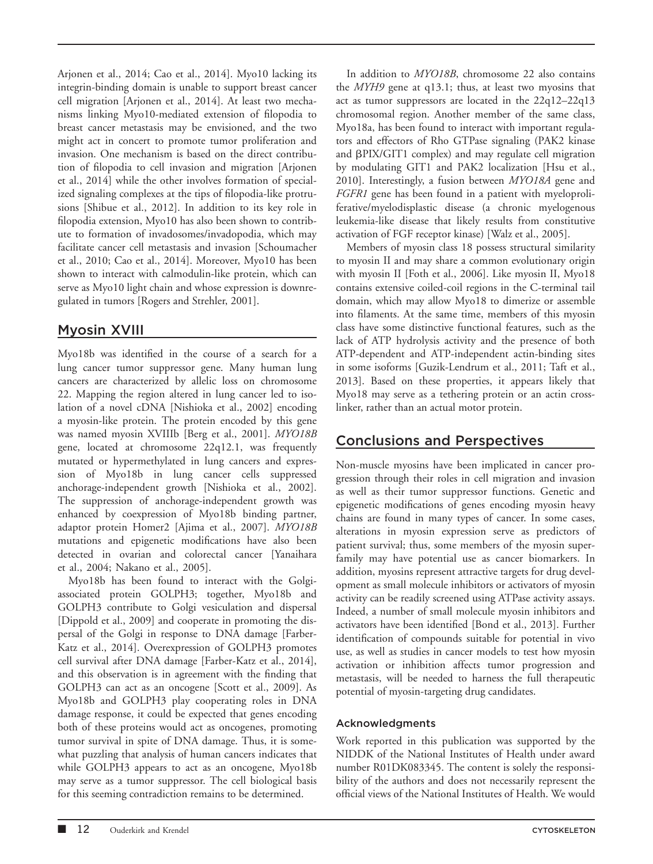Arjonen et al., 2014; Cao et al., 2014]. Myo10 lacking its integrin-binding domain is unable to support breast cancer cell migration [Arjonen et al., 2014]. At least two mechanisms linking Myo10-mediated extension of filopodia to breast cancer metastasis may be envisioned, and the two might act in concert to promote tumor proliferation and invasion. One mechanism is based on the direct contribution of filopodia to cell invasion and migration [Arjonen et al., 2014] while the other involves formation of specialized signaling complexes at the tips of filopodia-like protrusions [Shibue et al., 2012]. In addition to its key role in filopodia extension, Myo10 has also been shown to contribute to formation of invadosomes/invadopodia, which may facilitate cancer cell metastasis and invasion [Schoumacher et al., 2010; Cao et al., 2014]. Moreover, Myo10 has been shown to interact with calmodulin-like protein, which can serve as Myo10 light chain and whose expression is downregulated in tumors [Rogers and Strehler, 2001].

# Myosin XVIII

Myo18b was identified in the course of a search for a lung cancer tumor suppressor gene. Many human lung cancers are characterized by allelic loss on chromosome 22. Mapping the region altered in lung cancer led to isolation of a novel cDNA [Nishioka et al., 2002] encoding a myosin-like protein. The protein encoded by this gene was named myosin XVIIIb [Berg et al., 2001]. MYO18B gene, located at chromosome 22q12.1, was frequently mutated or hypermethylated in lung cancers and expression of Myo18b in lung cancer cells suppressed anchorage-independent growth [Nishioka et al., 2002]. The suppression of anchorage-independent growth was enhanced by coexpression of Myo18b binding partner, adaptor protein Homer2 [Ajima et al., 2007]. MYO18B mutations and epigenetic modifications have also been detected in ovarian and colorectal cancer [Yanaihara et al., 2004; Nakano et al., 2005].

Myo18b has been found to interact with the Golgiassociated protein GOLPH3; together, Myo18b and GOLPH3 contribute to Golgi vesiculation and dispersal [Dippold et al., 2009] and cooperate in promoting the dispersal of the Golgi in response to DNA damage [Farber-Katz et al., 2014]. Overexpression of GOLPH3 promotes cell survival after DNA damage [Farber-Katz et al., 2014], and this observation is in agreement with the finding that GOLPH3 can act as an oncogene [Scott et al., 2009]. As Myo18b and GOLPH3 play cooperating roles in DNA damage response, it could be expected that genes encoding both of these proteins would act as oncogenes, promoting tumor survival in spite of DNA damage. Thus, it is somewhat puzzling that analysis of human cancers indicates that while GOLPH3 appears to act as an oncogene, Myo18b may serve as a tumor suppressor. The cell biological basis for this seeming contradiction remains to be determined.

In addition to MYO18B, chromosome 22 also contains the MYH9 gene at q13.1; thus, at least two myosins that act as tumor suppressors are located in the 22q12–22q13 chromosomal region. Another member of the same class, Myo18a, has been found to interact with important regulators and effectors of Rho GTPase signaling (PAK2 kinase and  $\beta$ PIX/GIT1 complex) and may regulate cell migration by modulating GIT1 and PAK2 localization [Hsu et al., 2010]. Interestingly, a fusion between MYO18A gene and FGFR1 gene has been found in a patient with myeloproliferative/myelodisplastic disease (a chronic myelogenous leukemia-like disease that likely results from constitutive activation of FGF receptor kinase) [Walz et al., 2005].

Members of myosin class 18 possess structural similarity to myosin II and may share a common evolutionary origin with myosin II [Foth et al., 2006]. Like myosin II, Myo18 contains extensive coiled-coil regions in the C-terminal tail domain, which may allow Myo18 to dimerize or assemble into filaments. At the same time, members of this myosin class have some distinctive functional features, such as the lack of ATP hydrolysis activity and the presence of both ATP-dependent and ATP-independent actin-binding sites in some isoforms [Guzik-Lendrum et al., 2011; Taft et al., 2013]. Based on these properties, it appears likely that Myo18 may serve as a tethering protein or an actin crosslinker, rather than an actual motor protein.

# Conclusions and Perspectives

Non-muscle myosins have been implicated in cancer progression through their roles in cell migration and invasion as well as their tumor suppressor functions. Genetic and epigenetic modifications of genes encoding myosin heavy chains are found in many types of cancer. In some cases, alterations in myosin expression serve as predictors of patient survival; thus, some members of the myosin superfamily may have potential use as cancer biomarkers. In addition, myosins represent attractive targets for drug development as small molecule inhibitors or activators of myosin activity can be readily screened using ATPase activity assays. Indeed, a number of small molecule myosin inhibitors and activators have been identified [Bond et al., 2013]. Further identification of compounds suitable for potential in vivo use, as well as studies in cancer models to test how myosin activation or inhibition affects tumor progression and metastasis, will be needed to harness the full therapeutic potential of myosin-targeting drug candidates.

## Acknowledgments

Work reported in this publication was supported by the NIDDK of the National Institutes of Health under award number R01DK083345. The content is solely the responsibility of the authors and does not necessarily represent the official views of the National Institutes of Health. We would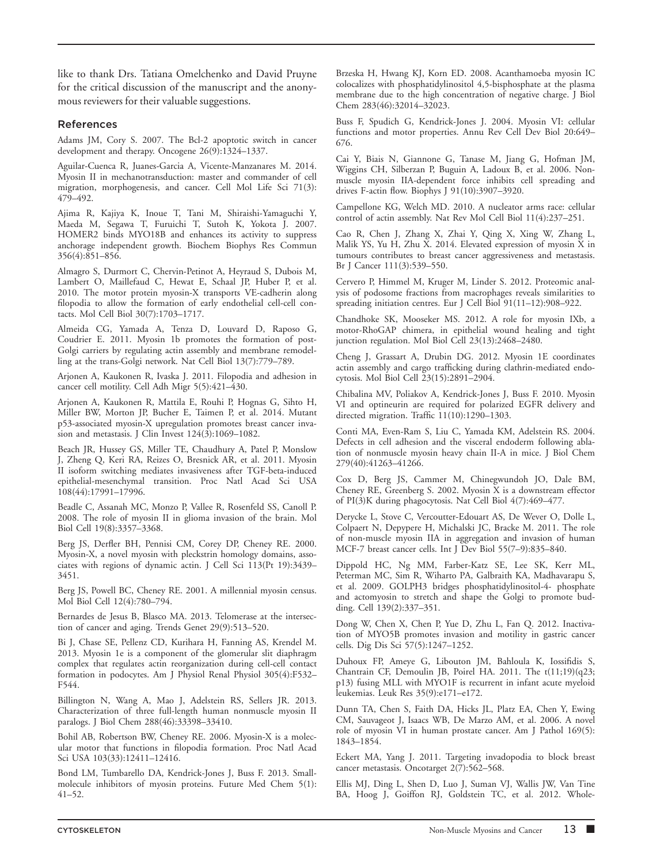like to thank Drs. Tatiana Omelchenko and David Pruyne for the critical discussion of the manuscript and the anonymous reviewers for their valuable suggestions.

#### References

Adams JM, Cory S. 2007. The Bcl-2 apoptotic switch in cancer development and therapy. Oncogene 26(9):1324–1337.

Aguilar-Cuenca R, Juanes-Garcia A, Vicente-Manzanares M. 2014. Myosin II in mechanotransduction: master and commander of cell migration, morphogenesis, and cancer. Cell Mol Life Sci 71(3): 479–492.

Ajima R, Kajiya K, Inoue T, Tani M, Shiraishi-Yamaguchi Y, Maeda M, Segawa T, Furuichi T, Sutoh K, Yokota J. 2007. HOMER2 binds MYO18B and enhances its activity to suppress anchorage independent growth. Biochem Biophys Res Commun 356(4):851–856.

Almagro S, Durmort C, Chervin-Petinot A, Heyraud S, Dubois M, Lambert O, Maillefaud C, Hewat E, Schaal JP, Huber P, et al. 2010. The motor protein myosin-X transports VE-cadherin along filopodia to allow the formation of early endothelial cell-cell contacts. Mol Cell Biol 30(7):1703–1717.

Almeida CG, Yamada A, Tenza D, Louvard D, Raposo G, Coudrier E. 2011. Myosin 1b promotes the formation of post-Golgi carriers by regulating actin assembly and membrane remodelling at the trans-Golgi network. Nat Cell Biol 13(7):779–789.

Arjonen A, Kaukonen R, Ivaska J. 2011. Filopodia and adhesion in cancer cell motility. Cell Adh Migr 5(5):421–430.

Arjonen A, Kaukonen R, Mattila E, Rouhi P, Hognas G, Sihto H, Miller BW, Morton JP, Bucher E, Taimen P, et al. 2014. Mutant p53-associated myosin-X upregulation promotes breast cancer invasion and metastasis. J Clin Invest 124(3):1069–1082.

Beach JR, Hussey GS, Miller TE, Chaudhury A, Patel P, Monslow J, Zheng Q, Keri RA, Reizes O, Bresnick AR, et al. 2011. Myosin II isoform switching mediates invasiveness after TGF-beta-induced epithelial-mesenchymal transition. Proc Natl Acad Sci USA 108(44):17991–17996.

Beadle C, Assanah MC, Monzo P, Vallee R, Rosenfeld SS, Canoll P. 2008. The role of myosin II in glioma invasion of the brain. Mol Biol Cell 19(8):3357–3368.

Berg JS, Derfler BH, Pennisi CM, Corey DP, Cheney RE. 2000. Myosin-X, a novel myosin with pleckstrin homology domains, associates with regions of dynamic actin. J Cell Sci 113(Pt 19):3439– 3451.

Berg JS, Powell BC, Cheney RE. 2001. A millennial myosin census. Mol Biol Cell 12(4):780–794.

Bernardes de Jesus B, Blasco MA. 2013. Telomerase at the intersection of cancer and aging. Trends Genet 29(9):513–520.

Bi J, Chase SE, Pellenz CD, Kurihara H, Fanning AS, Krendel M. 2013. Myosin 1e is a component of the glomerular slit diaphragm complex that regulates actin reorganization during cell-cell contact formation in podocytes. Am J Physiol Renal Physiol 305(4):F532– F544.

Billington N, Wang A, Mao J, Adelstein RS, Sellers JR. 2013. Characterization of three full-length human nonmuscle myosin II paralogs. J Biol Chem 288(46):33398–33410.

Bohil AB, Robertson BW, Cheney RE. 2006. Myosin-X is a molecular motor that functions in filopodia formation. Proc Natl Acad Sci USA 103(33):12411–12416.

Bond LM, Tumbarello DA, Kendrick-Jones J, Buss F. 2013. Smallmolecule inhibitors of myosin proteins. Future Med Chem 5(1): 41–52.

Brzeska H, Hwang KJ, Korn ED. 2008. Acanthamoeba myosin IC colocalizes with phosphatidylinositol 4,5-bisphosphate at the plasma membrane due to the high concentration of negative charge. J Biol Chem 283(46):32014–32023.

Buss F, Spudich G, Kendrick-Jones J. 2004. Myosin VI: cellular functions and motor properties. Annu Rev Cell Dev Biol 20:649– 676.

Cai Y, Biais N, Giannone G, Tanase M, Jiang G, Hofman JM, Wiggins CH, Silberzan P, Buguin A, Ladoux B, et al. 2006. Nonmuscle myosin IIA-dependent force inhibits cell spreading and drives F-actin flow. Biophys J 91(10):3907–3920.

Campellone KG, Welch MD. 2010. A nucleator arms race: cellular control of actin assembly. Nat Rev Mol Cell Biol 11(4):237–251.

Cao R, Chen J, Zhang X, Zhai Y, Qing X, Xing W, Zhang L, Malik YS, Yu H, Zhu X. 2014. Elevated expression of myosin X in tumours contributes to breast cancer aggressiveness and metastasis. Br J Cancer 111(3):539–550.

Cervero P, Himmel M, Kruger M, Linder S. 2012. Proteomic analysis of podosome fractions from macrophages reveals similarities to spreading initiation centres. Eur J Cell Biol 91(11–12):908–922.

Chandhoke SK, Mooseker MS. 2012. A role for myosin IXb, a motor-RhoGAP chimera, in epithelial wound healing and tight junction regulation. Mol Biol Cell 23(13):2468–2480.

Cheng J, Grassart A, Drubin DG. 2012. Myosin 1E coordinates actin assembly and cargo trafficking during clathrin-mediated endocytosis. Mol Biol Cell 23(15):2891–2904.

Chibalina MV, Poliakov A, Kendrick-Jones J, Buss F. 2010. Myosin VI and optineurin are required for polarized EGFR delivery and directed migration. Traffic 11(10):1290–1303.

Conti MA, Even-Ram S, Liu C, Yamada KM, Adelstein RS. 2004. Defects in cell adhesion and the visceral endoderm following ablation of nonmuscle myosin heavy chain II-A in mice. J Biol Chem 279(40):41263–41266.

Cox D, Berg JS, Cammer M, Chinegwundoh JO, Dale BM, Cheney RE, Greenberg S. 2002. Myosin X is a downstream effector of PI(3)K during phagocytosis. Nat Cell Biol 4(7):469–477.

Derycke L, Stove C, Vercoutter-Edouart AS, De Wever O, Dolle L, Colpaert N, Depypere H, Michalski JC, Bracke M. 2011. The role of non-muscle myosin IIA in aggregation and invasion of human MCF-7 breast cancer cells. Int J Dev Biol 55(7–9):835–840.

Dippold HC, Ng MM, Farber-Katz SE, Lee SK, Kerr ML, Peterman MC, Sim R, Wiharto PA, Galbraith KA, Madhavarapu S, et al. 2009. GOLPH3 bridges phosphatidylinositol-4- phosphate and actomyosin to stretch and shape the Golgi to promote budding. Cell 139(2):337–351.

Dong W, Chen X, Chen P, Yue D, Zhu L, Fan Q. 2012. Inactivation of MYO5B promotes invasion and motility in gastric cancer cells. Dig Dis Sci 57(5):1247–1252.

Duhoux FP, Ameye G, Libouton JM, Bahloula K, Iossifidis S, Chantrain CF, Demoulin JB, Poirel HA. 2011. The t(11;19)(q23; p13) fusing MLL with MYO1F is recurrent in infant acute myeloid leukemias. Leuk Res 35(9):e171–e172.

Dunn TA, Chen S, Faith DA, Hicks JL, Platz EA, Chen Y, Ewing CM, Sauvageot J, Isaacs WB, De Marzo AM, et al. 2006. A novel role of myosin VI in human prostate cancer. Am J Pathol 169(5): 1843–1854.

Eckert MA, Yang J. 2011. Targeting invadopodia to block breast cancer metastasis. Oncotarget 2(7):562–568.

Ellis MJ, Ding L, Shen D, Luo J, Suman VJ, Wallis JW, Van Tine BA, Hoog J, Goiffon RJ, Goldstein TC, et al. 2012. Whole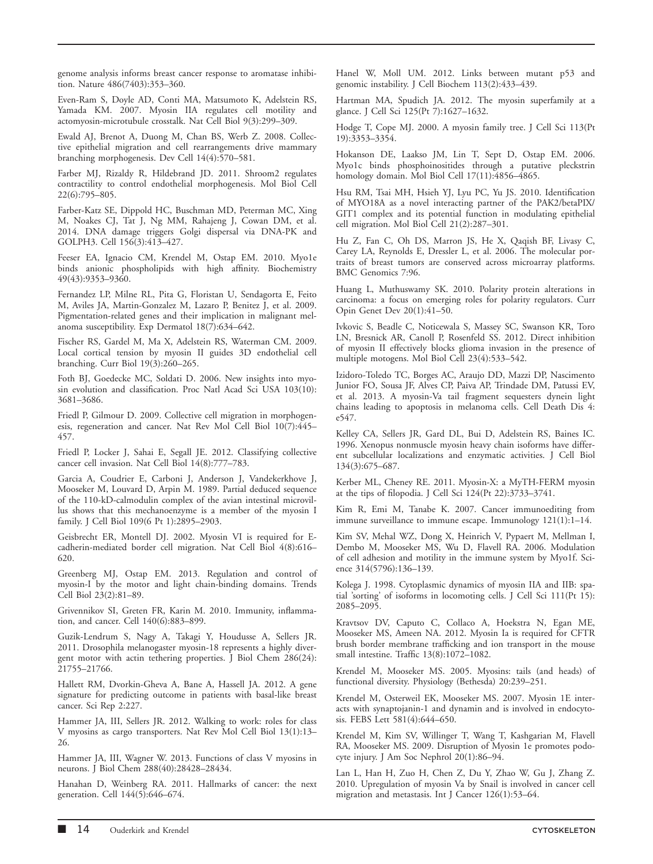genome analysis informs breast cancer response to aromatase inhibition. Nature 486(7403):353–360.

Even-Ram S, Doyle AD, Conti MA, Matsumoto K, Adelstein RS, Yamada KM. 2007. Myosin IIA regulates cell motility and actomyosin-microtubule crosstalk. Nat Cell Biol 9(3):299–309.

Ewald AJ, Brenot A, Duong M, Chan BS, Werb Z. 2008. Collective epithelial migration and cell rearrangements drive mammary branching morphogenesis. Dev Cell 14(4):570–581.

Farber MJ, Rizaldy R, Hildebrand JD. 2011. Shroom2 regulates contractility to control endothelial morphogenesis. Mol Biol Cell 22(6):795–805.

Farber-Katz SE, Dippold HC, Buschman MD, Peterman MC, Xing M, Noakes CJ, Tat J, Ng MM, Rahajeng J, Cowan DM, et al. 2014. DNA damage triggers Golgi dispersal via DNA-PK and GOLPH3. Cell 156(3):413–427.

Feeser EA, Ignacio CM, Krendel M, Ostap EM. 2010. Myo1e binds anionic phospholipids with high affinity. Biochemistry 49(43):9353–9360.

Fernandez LP, Milne RL, Pita G, Floristan U, Sendagorta E, Feito M, Aviles JA, Martin-Gonzalez M, Lazaro P, Benitez J, et al. 2009. Pigmentation-related genes and their implication in malignant melanoma susceptibility. Exp Dermatol 18(7):634–642.

Fischer RS, Gardel M, Ma X, Adelstein RS, Waterman CM. 2009. Local cortical tension by myosin II guides 3D endothelial cell branching. Curr Biol 19(3):260–265.

Foth BJ, Goedecke MC, Soldati D. 2006. New insights into myosin evolution and classification. Proc Natl Acad Sci USA 103(10): 3681–3686.

Friedl P, Gilmour D. 2009. Collective cell migration in morphogenesis, regeneration and cancer. Nat Rev Mol Cell Biol 10(7):445-457.

Friedl P, Locker J, Sahai E, Segall JE. 2012. Classifying collective cancer cell invasion. Nat Cell Biol 14(8):777–783.

Garcia A, Coudrier E, Carboni J, Anderson J, Vandekerkhove J, Mooseker M, Louvard D, Arpin M. 1989. Partial deduced sequence of the 110-kD-calmodulin complex of the avian intestinal microvillus shows that this mechanoenzyme is a member of the myosin I family. J Cell Biol 109(6 Pt 1):2895–2903.

Geisbrecht ER, Montell DJ. 2002. Myosin VI is required for Ecadherin-mediated border cell migration. Nat Cell Biol 4(8):616– 620.

Greenberg MJ, Ostap EM. 2013. Regulation and control of myosin-I by the motor and light chain-binding domains. Trends Cell Biol 23(2):81–89.

Grivennikov SI, Greten FR, Karin M. 2010. Immunity, inflammation, and cancer. Cell 140(6):883–899.

Guzik-Lendrum S, Nagy A, Takagi Y, Houdusse A, Sellers JR. 2011. Drosophila melanogaster myosin-18 represents a highly divergent motor with actin tethering properties. J Biol Chem 286(24): 21755–21766.

Hallett RM, Dvorkin-Gheva A, Bane A, Hassell JA. 2012. A gene signature for predicting outcome in patients with basal-like breast cancer. Sci Rep 2:227.

Hammer JA, III, Sellers JR. 2012. Walking to work: roles for class V myosins as cargo transporters. Nat Rev Mol Cell Biol 13(1):13– 26.

Hammer JA, III, Wagner W. 2013. Functions of class V myosins in neurons. J Biol Chem 288(40):28428–28434.

Hanahan D, Weinberg RA. 2011. Hallmarks of cancer: the next generation. Cell 144(5):646–674.

Hanel W, Moll UM. 2012. Links between mutant p53 and genomic instability. J Cell Biochem 113(2):433–439.

Hartman MA, Spudich JA. 2012. The myosin superfamily at a glance. J Cell Sci 125(Pt 7):1627–1632.

Hodge T, Cope MJ. 2000. A myosin family tree. J Cell Sci 113(Pt 19):3353–3354.

Hokanson DE, Laakso JM, Lin T, Sept D, Ostap EM. 2006. Myo1c binds phosphoinositides through a putative pleckstrin homology domain. Mol Biol Cell 17(11):4856-4865.

Hsu RM, Tsai MH, Hsieh YJ, Lyu PC, Yu JS. 2010. Identification of MYO18A as a novel interacting partner of the PAK2/betaPIX/ GIT1 complex and its potential function in modulating epithelial cell migration. Mol Biol Cell 21(2):287–301.

Hu Z, Fan C, Oh DS, Marron JS, He X, Qaqish BF, Livasy C, Carey LA, Reynolds E, Dressler L, et al. 2006. The molecular portraits of breast tumors are conserved across microarray platforms. BMC Genomics 7:96.

Huang L, Muthuswamy SK. 2010. Polarity protein alterations in carcinoma: a focus on emerging roles for polarity regulators. Curr Opin Genet Dev 20(1):41–50.

Ivkovic S, Beadle C, Noticewala S, Massey SC, Swanson KR, Toro LN, Bresnick AR, Canoll P, Rosenfeld SS. 2012. Direct inhibition of myosin II effectively blocks glioma invasion in the presence of multiple motogens. Mol Biol Cell 23(4):533–542.

Izidoro-Toledo TC, Borges AC, Araujo DD, Mazzi DP, Nascimento Junior FO, Sousa JF, Alves CP, Paiva AP, Trindade DM, Patussi EV, et al. 2013. A myosin-Va tail fragment sequesters dynein light chains leading to apoptosis in melanoma cells. Cell Death Dis 4: e547.

Kelley CA, Sellers JR, Gard DL, Bui D, Adelstein RS, Baines IC. 1996. Xenopus nonmuscle myosin heavy chain isoforms have different subcellular localizations and enzymatic activities. J Cell Biol 134(3):675–687.

Kerber ML, Cheney RE. 2011. Myosin-X: a MyTH-FERM myosin at the tips of filopodia. J Cell Sci 124(Pt 22):3733–3741.

Kim R, Emi M, Tanabe K. 2007. Cancer immunoediting from immune surveillance to immune escape. Immunology 121(1):1–14.

Kim SV, Mehal WZ, Dong X, Heinrich V, Pypaert M, Mellman I, Dembo M, Mooseker MS, Wu D, Flavell RA. 2006. Modulation of cell adhesion and motility in the immune system by Myo1f. Science 314(5796):136–139.

Kolega J. 1998. Cytoplasmic dynamics of myosin IIA and IIB: spatial 'sorting' of isoforms in locomoting cells. J Cell Sci 111(Pt 15): 2085–2095.

Kravtsov DV, Caputo C, Collaco A, Hoekstra N, Egan ME, Mooseker MS, Ameen NA. 2012. Myosin Ia is required for CFTR brush border membrane trafficking and ion transport in the mouse small intestine. Traffic 13(8):1072–1082.

Krendel M, Mooseker MS. 2005. Myosins: tails (and heads) of functional diversity. Physiology (Bethesda) 20:239–251.

Krendel M, Osterweil EK, Mooseker MS. 2007. Myosin 1E interacts with synaptojanin-1 and dynamin and is involved in endocytosis. FEBS Lett 581(4):644–650.

Krendel M, Kim SV, Willinger T, Wang T, Kashgarian M, Flavell RA, Mooseker MS. 2009. Disruption of Myosin 1e promotes podocyte injury. J Am Soc Nephrol 20(1):86–94.

Lan L, Han H, Zuo H, Chen Z, Du Y, Zhao W, Gu J, Zhang Z. 2010. Upregulation of myosin Va by Snail is involved in cancer cell migration and metastasis. Int J Cancer 126(1):53–64.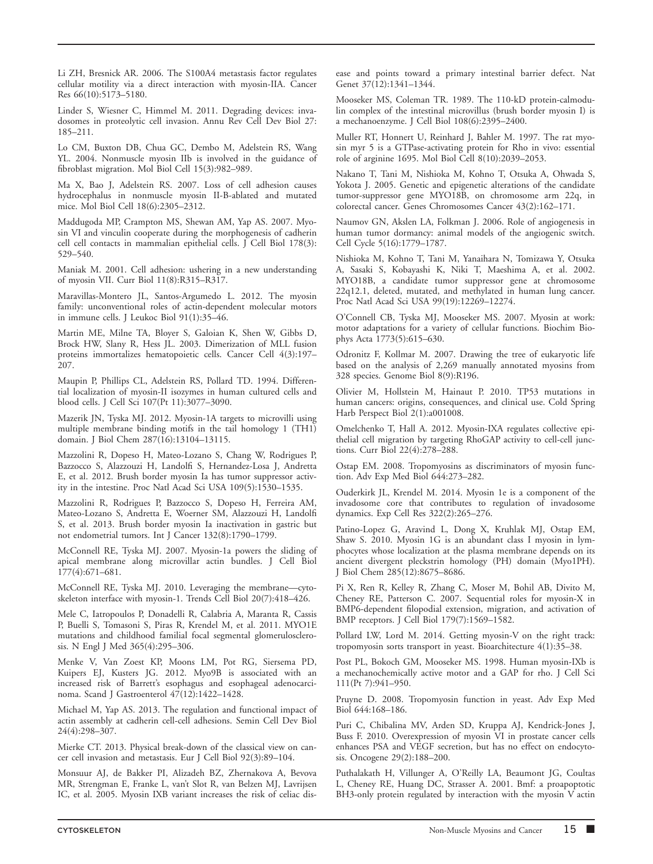Li ZH, Bresnick AR. 2006. The S100A4 metastasis factor regulates cellular motility via a direct interaction with myosin-IIA. Cancer Res 66(10):5173–5180.

Linder S, Wiesner C, Himmel M. 2011. Degrading devices: invadosomes in proteolytic cell invasion. Annu Rev Cell Dev Biol 27: 185–211.

Lo CM, Buxton DB, Chua GC, Dembo M, Adelstein RS, Wang YL. 2004. Nonmuscle myosin IIb is involved in the guidance of fibroblast migration. Mol Biol Cell 15(3):982–989.

Ma X, Bao J, Adelstein RS. 2007. Loss of cell adhesion causes hydrocephalus in nonmuscle myosin II-B-ablated and mutated mice. Mol Biol Cell 18(6):2305–2312.

Maddugoda MP, Crampton MS, Shewan AM, Yap AS. 2007. Myosin VI and vinculin cooperate during the morphogenesis of cadherin cell cell contacts in mammalian epithelial cells. J Cell Biol 178(3): 529–540.

Maniak M. 2001. Cell adhesion: ushering in a new understanding of myosin VII. Curr Biol 11(8):R315–R317.

Maravillas-Montero JL, Santos-Argumedo L. 2012. The myosin family: unconventional roles of actin-dependent molecular motors in immune cells. J Leukoc Biol 91(1):35–46.

Martin ME, Milne TA, Bloyer S, Galoian K, Shen W, Gibbs D, Brock HW, Slany R, Hess JL. 2003. Dimerization of MLL fusion proteins immortalizes hematopoietic cells. Cancer Cell 4(3):197– 207.

Maupin P, Phillips CL, Adelstein RS, Pollard TD. 1994. Differential localization of myosin-II isozymes in human cultured cells and blood cells. J Cell Sci 107(Pt 11):3077–3090.

Mazerik JN, Tyska MJ. 2012. Myosin-1A targets to microvilli using multiple membrane binding motifs in the tail homology 1 (TH1) domain. J Biol Chem 287(16):13104–13115.

Mazzolini R, Dopeso H, Mateo-Lozano S, Chang W, Rodrigues P, Bazzocco S, Alazzouzi H, Landolfi S, Hernandez-Losa J, Andretta E, et al. 2012. Brush border myosin Ia has tumor suppressor activity in the intestine. Proc Natl Acad Sci USA 109(5):1530–1535.

Mazzolini R, Rodrigues P, Bazzocco S, Dopeso H, Ferreira AM, Mateo-Lozano S, Andretta E, Woerner SM, Alazzouzi H, Landolfi S, et al. 2013. Brush border myosin Ia inactivation in gastric but not endometrial tumors. Int J Cancer 132(8):1790–1799.

McConnell RE, Tyska MJ. 2007. Myosin-1a powers the sliding of apical membrane along microvillar actin bundles. J Cell Biol 177(4):671–681.

McConnell RE, Tyska MJ. 2010. Leveraging the membrane—cytoskeleton interface with myosin-1. Trends Cell Biol 20(7):418–426.

Mele C, Iatropoulos P, Donadelli R, Calabria A, Maranta R, Cassis P, Buelli S, Tomasoni S, Piras R, Krendel M, et al. 2011. MYO1E mutations and childhood familial focal segmental glomerulosclerosis. N Engl J Med 365(4):295–306.

Menke V, Van Zoest KP, Moons LM, Pot RG, Siersema PD, Kuipers EJ, Kusters JG. 2012. Myo9B is associated with an increased risk of Barrett's esophagus and esophageal adenocarcinoma. Scand J Gastroenterol 47(12):1422–1428.

Michael M, Yap AS. 2013. The regulation and functional impact of actin assembly at cadherin cell-cell adhesions. Semin Cell Dev Biol 24(4):298–307.

Mierke CT. 2013. Physical break-down of the classical view on cancer cell invasion and metastasis. Eur J Cell Biol 92(3):89–104.

Monsuur AJ, de Bakker PI, Alizadeh BZ, Zhernakova A, Bevova MR, Strengman E, Franke L, van't Slot R, van Belzen MJ, Lavrijsen IC, et al. 2005. Myosin IXB variant increases the risk of celiac disease and points toward a primary intestinal barrier defect. Nat Genet 37(12):1341–1344.

Mooseker MS, Coleman TR. 1989. The 110-kD protein-calmodulin complex of the intestinal microvillus (brush border myosin I) is a mechanoenzyme. J Cell Biol 108(6):2395–2400.

Muller RT, Honnert U, Reinhard J, Bahler M. 1997. The rat myosin myr 5 is a GTPase-activating protein for Rho in vivo: essential role of arginine 1695. Mol Biol Cell 8(10):2039–2053.

Nakano T, Tani M, Nishioka M, Kohno T, Otsuka A, Ohwada S, Yokota J. 2005. Genetic and epigenetic alterations of the candidate tumor-suppressor gene MYO18B, on chromosome arm 22q, in colorectal cancer. Genes Chromosomes Cancer 43(2):162–171.

Naumov GN, Akslen LA, Folkman J. 2006. Role of angiogenesis in human tumor dormancy: animal models of the angiogenic switch. Cell Cycle 5(16):1779–1787.

Nishioka M, Kohno T, Tani M, Yanaihara N, Tomizawa Y, Otsuka A, Sasaki S, Kobayashi K, Niki T, Maeshima A, et al. 2002. MYO18B, a candidate tumor suppressor gene at chromosome 22q12.1, deleted, mutated, and methylated in human lung cancer. Proc Natl Acad Sci USA 99(19):12269–12274.

O'Connell CB, Tyska MJ, Mooseker MS. 2007. Myosin at work: motor adaptations for a variety of cellular functions. Biochim Biophys Acta 1773(5):615–630.

Odronitz F, Kollmar M. 2007. Drawing the tree of eukaryotic life based on the analysis of 2,269 manually annotated myosins from 328 species. Genome Biol 8(9):R196.

Olivier M, Hollstein M, Hainaut P. 2010. TP53 mutations in human cancers: origins, consequences, and clinical use. Cold Spring Harb Perspect Biol 2(1):a001008.

Omelchenko T, Hall A. 2012. Myosin-IXA regulates collective epithelial cell migration by targeting RhoGAP activity to cell-cell junctions. Curr Biol 22(4):278–288.

Ostap EM. 2008. Tropomyosins as discriminators of myosin function. Adv Exp Med Biol 644:273–282.

Ouderkirk JL, Krendel M. 2014. Myosin 1e is a component of the invadosome core that contributes to regulation of invadosome dynamics. Exp Cell Res 322(2):265–276.

Patino-Lopez G, Aravind L, Dong X, Kruhlak MJ, Ostap EM, Shaw S. 2010. Myosin 1G is an abundant class I myosin in lymphocytes whose localization at the plasma membrane depends on its ancient divergent pleckstrin homology (PH) domain (Myo1PH). J Biol Chem 285(12):8675–8686.

Pi X, Ren R, Kelley R, Zhang C, Moser M, Bohil AB, Divito M, Cheney RE, Patterson C. 2007. Sequential roles for myosin-X in BMP6-dependent filopodial extension, migration, and activation of BMP receptors. J Cell Biol 179(7):1569–1582.

Pollard LW, Lord M. 2014. Getting myosin-V on the right track: tropomyosin sorts transport in yeast. Bioarchitecture 4(1):35–38.

Post PL, Bokoch GM, Mooseker MS. 1998. Human myosin-IXb is a mechanochemically active motor and a GAP for rho. J Cell Sci 111(Pt 7):941–950.

Pruyne D. 2008. Tropomyosin function in yeast. Adv Exp Med Biol 644:168–186.

Puri C, Chibalina MV, Arden SD, Kruppa AJ, Kendrick-Jones J, Buss F. 2010. Overexpression of myosin VI in prostate cancer cells enhances PSA and VEGF secretion, but has no effect on endocytosis. Oncogene 29(2):188–200.

Puthalakath H, Villunger A, O'Reilly LA, Beaumont JG, Coultas L, Cheney RE, Huang DC, Strasser A. 2001. Bmf: a proapoptotic BH3-only protein regulated by interaction with the myosin V actin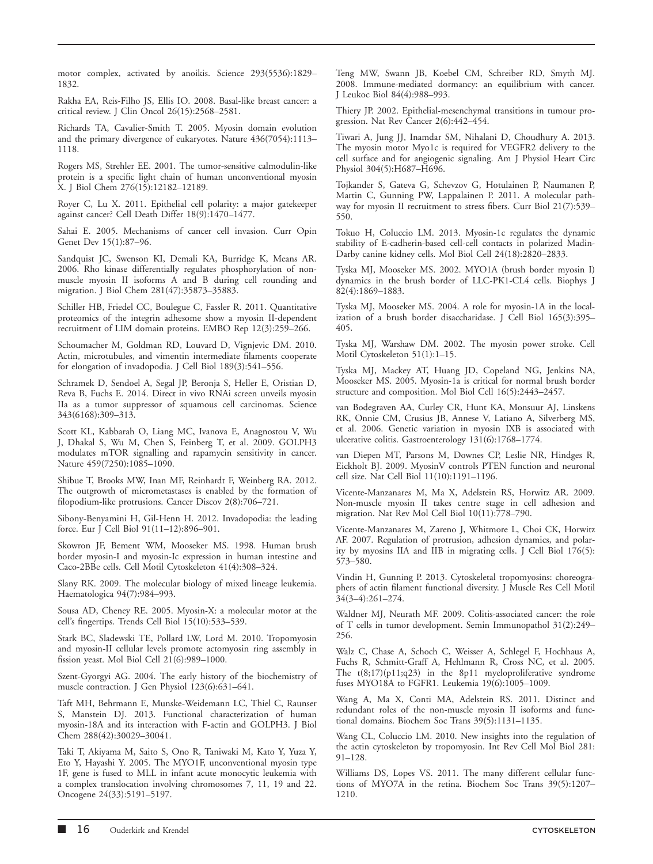motor complex, activated by anoikis. Science 293(5536):1829– 1832.

Rakha EA, Reis-Filho JS, Ellis IO. 2008. Basal-like breast cancer: a critical review. J Clin Oncol 26(15):2568–2581.

Richards TA, Cavalier-Smith T. 2005. Myosin domain evolution and the primary divergence of eukaryotes. Nature 436(7054):1113– 1118.

Rogers MS, Strehler EE. 2001. The tumor-sensitive calmodulin-like protein is a specific light chain of human unconventional myosin X. J Biol Chem 276(15):12182–12189.

Royer C, Lu X. 2011. Epithelial cell polarity: a major gatekeeper against cancer? Cell Death Differ 18(9):1470–1477.

Sahai E. 2005. Mechanisms of cancer cell invasion. Curr Opin Genet Dev 15(1):87–96.

Sandquist JC, Swenson KI, Demali KA, Burridge K, Means AR. 2006. Rho kinase differentially regulates phosphorylation of nonmuscle myosin II isoforms A and B during cell rounding and migration. J Biol Chem 281(47):35873–35883.

Schiller HB, Friedel CC, Boulegue C, Fassler R. 2011. Quantitative proteomics of the integrin adhesome show a myosin II-dependent recruitment of LIM domain proteins. EMBO Rep 12(3):259–266.

Schoumacher M, Goldman RD, Louvard D, Vignjevic DM. 2010. Actin, microtubules, and vimentin intermediate filaments cooperate for elongation of invadopodia. J Cell Biol 189(3):541–556.

Schramek D, Sendoel A, Segal JP, Beronja S, Heller E, Oristian D, Reva B, Fuchs E. 2014. Direct in vivo RNAi screen unveils myosin IIa as a tumor suppressor of squamous cell carcinomas. Science 343(6168):309–313.

Scott KL, Kabbarah O, Liang MC, Ivanova E, Anagnostou V, Wu J, Dhakal S, Wu M, Chen S, Feinberg T, et al. 2009. GOLPH3 modulates mTOR signalling and rapamycin sensitivity in cancer. Nature 459(7250):1085–1090.

Shibue T, Brooks MW, Inan MF, Reinhardt F, Weinberg RA. 2012. The outgrowth of micrometastases is enabled by the formation of filopodium-like protrusions. Cancer Discov 2(8):706–721.

Sibony-Benyamini H, Gil-Henn H. 2012. Invadopodia: the leading force. Eur J Cell Biol 91(11–12):896–901.

Skowron JF, Bement WM, Mooseker MS. 1998. Human brush border myosin-I and myosin-Ic expression in human intestine and Caco-2BBe cells. Cell Motil Cytoskeleton 41(4):308–324.

Slany RK. 2009. The molecular biology of mixed lineage leukemia. Haematologica 94(7):984–993.

Sousa AD, Cheney RE. 2005. Myosin-X: a molecular motor at the cell's fingertips. Trends Cell Biol 15(10):533–539.

Stark BC, Sladewski TE, Pollard LW, Lord M. 2010. Tropomyosin and myosin-II cellular levels promote actomyosin ring assembly in fission yeast. Mol Biol Cell 21(6):989–1000.

Szent-Gyorgyi AG. 2004. The early history of the biochemistry of muscle contraction. J Gen Physiol 123(6):631–641.

Taft MH, Behrmann E, Munske-Weidemann LC, Thiel C, Raunser S, Manstein DJ. 2013. Functional characterization of human myosin-18A and its interaction with F-actin and GOLPH3. J Biol Chem 288(42):30029–30041.

Taki T, Akiyama M, Saito S, Ono R, Taniwaki M, Kato Y, Yuza Y, Eto Y, Hayashi Y. 2005. The MYO1F, unconventional myosin type 1F, gene is fused to MLL in infant acute monocytic leukemia with a complex translocation involving chromosomes 7, 11, 19 and 22. Oncogene 24(33):5191–5197.

Teng MW, Swann JB, Koebel CM, Schreiber RD, Smyth MJ. 2008. Immune-mediated dormancy: an equilibrium with cancer. J Leukoc Biol 84(4):988–993.

Thiery JP. 2002. Epithelial-mesenchymal transitions in tumour progression. Nat Rev Cancer 2(6):442–454.

Tiwari A, Jung JJ, Inamdar SM, Nihalani D, Choudhury A. 2013. The myosin motor Myo1c is required for VEGFR2 delivery to the cell surface and for angiogenic signaling. Am J Physiol Heart Circ Physiol 304(5):H687–H696.

Tojkander S, Gateva G, Schevzov G, Hotulainen P, Naumanen P, Martin C, Gunning PW, Lappalainen P. 2011. A molecular pathway for myosin II recruitment to stress fibers. Curr Biol 21(7):539– 550.

Tokuo H, Coluccio LM. 2013. Myosin-1c regulates the dynamic stability of E-cadherin-based cell-cell contacts in polarized Madin-Darby canine kidney cells. Mol Biol Cell 24(18):2820–2833.

Tyska MJ, Mooseker MS. 2002. MYO1A (brush border myosin I) dynamics in the brush border of LLC-PK1-CL4 cells. Biophys J 82(4):1869–1883.

Tyska MJ, Mooseker MS. 2004. A role for myosin-1A in the localization of a brush border disaccharidase. J Cell Biol 165(3):395– 405.

Tyska MJ, Warshaw DM. 2002. The myosin power stroke. Cell Motil Cytoskeleton 51(1):1–15.

Tyska MJ, Mackey AT, Huang JD, Copeland NG, Jenkins NA, Mooseker MS. 2005. Myosin-1a is critical for normal brush border structure and composition. Mol Biol Cell 16(5):2443–2457.

van Bodegraven AA, Curley CR, Hunt KA, Monsuur AJ, Linskens RK, Onnie CM, Crusius JB, Annese V, Latiano A, Silverberg MS, et al. 2006. Genetic variation in myosin IXB is associated with ulcerative colitis. Gastroenterology 131(6):1768–1774.

van Diepen MT, Parsons M, Downes CP, Leslie NR, Hindges R, Eickholt BJ. 2009. MyosinV controls PTEN function and neuronal cell size. Nat Cell Biol 11(10):1191–1196.

Vicente-Manzanares M, Ma X, Adelstein RS, Horwitz AR. 2009. Non-muscle myosin II takes centre stage in cell adhesion and migration. Nat Rev Mol Cell Biol 10(11):778–790.

Vicente-Manzanares M, Zareno J, Whitmore L, Choi CK, Horwitz AF. 2007. Regulation of protrusion, adhesion dynamics, and polarity by myosins IIA and IIB in migrating cells. J Cell Biol 176(5): 573–580.

Vindin H, Gunning P. 2013. Cytoskeletal tropomyosins: choreographers of actin filament functional diversity. J Muscle Res Cell Motil 34(3–4):261–274.

Waldner MJ, Neurath MF. 2009. Colitis-associated cancer: the role of T cells in tumor development. Semin Immunopathol 31(2):249– 256.

Walz C, Chase A, Schoch C, Weisser A, Schlegel F, Hochhaus A, Fuchs R, Schmitt-Graff A, Hehlmann R, Cross NC, et al. 2005. The t(8;17)(p11;q23) in the 8p11 myeloproliferative syndrome fuses MYO18A to FGFR1. Leukemia 19(6):1005–1009.

Wang A, Ma X, Conti MA, Adelstein RS. 2011. Distinct and redundant roles of the non-muscle myosin II isoforms and functional domains. Biochem Soc Trans 39(5):1131–1135.

Wang CL, Coluccio LM. 2010. New insights into the regulation of the actin cytoskeleton by tropomyosin. Int Rev Cell Mol Biol 281: 91–128.

Williams DS, Lopes VS. 2011. The many different cellular functions of MYO7A in the retina. Biochem Soc Trans 39(5):1207– 1210.